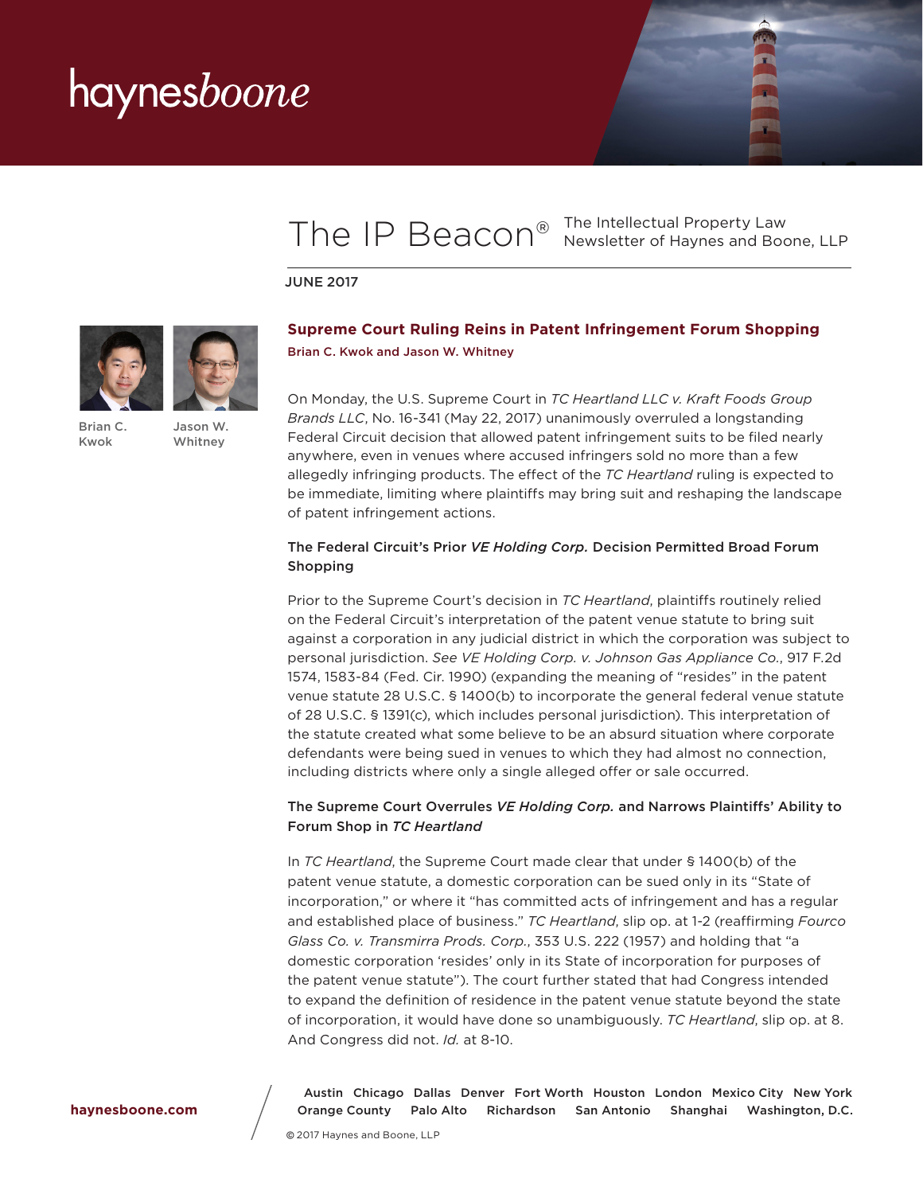### The IP Beacon<sup>®</sup> The Intellectual Property Law<br>Newsletter of Haynes and Boo Newsletter of Haynes and Boone, LLP

JUNE 2017



[Brian C.](http://www.haynesboone.com/people/k/kwok-brian)  [Kwok](http://www.haynesboone.com/people/k/kwok-brian)

[Jason W.](http://www.haynesboone.com/people/w/whitney-jason)  [Whitney](http://www.haynesboone.com/people/w/whitney-jason)

### **Supreme Court Ruling Reins in Patent Infringement Forum Shopping**  [Brian C. Kwok](http://www.haynesboone.com/people/k/kwok-brian) and [Jason W. Whitney](http://www.haynesboone.com/people/w/whitney-jason)

On Monday, the U.S. Supreme Court in *TC Heartland LLC v. Kraft Foods Group Brands LLC*, No. 16-341 (May 22, 2017) unanimously overruled a longstanding Federal Circuit decision that allowed patent infringement suits to be filed nearly anywhere, even in venues where accused infringers sold no more than a few allegedly infringing products. The effect of the *TC Heartland* ruling is expected to be immediate, limiting where plaintiffs may bring suit and reshaping the landscape of patent infringement actions.

#### The Federal Circuit's Prior *VE Holding Corp.* Decision Permitted Broad Forum Shopping

Prior to the Supreme Court's decision in *TC Heartland*, plaintiffs routinely relied on the Federal Circuit's interpretation of the patent venue statute to bring suit against a corporation in any judicial district in which the corporation was subject to personal jurisdiction. *See VE Holding Corp. v. Johnson Gas Appliance Co.*, 917 F.2d 1574, 1583-84 (Fed. Cir. 1990) (expanding the meaning of "resides" in the patent venue statute 28 U.S.C. § 1400(b) to incorporate the general federal venue statute of 28 U.S.C. § 1391(c), which includes personal jurisdiction). This interpretation of the statute created what some believe to be an absurd situation where corporate defendants were being sued in venues to which they had almost no connection, including districts where only a single alleged offer or sale occurred.

### The Supreme Court Overrules *VE Holding Corp.* and Narrows Plaintiffs' Ability to Forum Shop in *TC Heartland*

In *TC Heartland*, the Supreme Court made clear that under § 1400(b) of the patent venue statute, a domestic corporation can be sued only in its "State of incorporation," or where it "has committed acts of infringement and has a regular and established place of business." *TC Heartland*, slip op. at 1-2 (reaffirming *Fourco Glass Co. v. Transmirra Prods. Corp.*, 353 U.S. 222 (1957) and holding that "a domestic corporation 'resides' only in its State of incorporation for purposes of the patent venue statute"). The court further stated that had Congress intended to expand the definition of residence in the patent venue statute beyond the state of incorporation, it would have done so unambiguously. *TC Heartland*, slip op. at 8. And Congress did not. *Id.* at 8-10.

 Austin   Chicago   Dallas   Denver   Fort Worth   Houston   London   Mexico City   New York Orange County   Palo Alto   Richardson   San Antonio   Shanghai   Washington, D.C.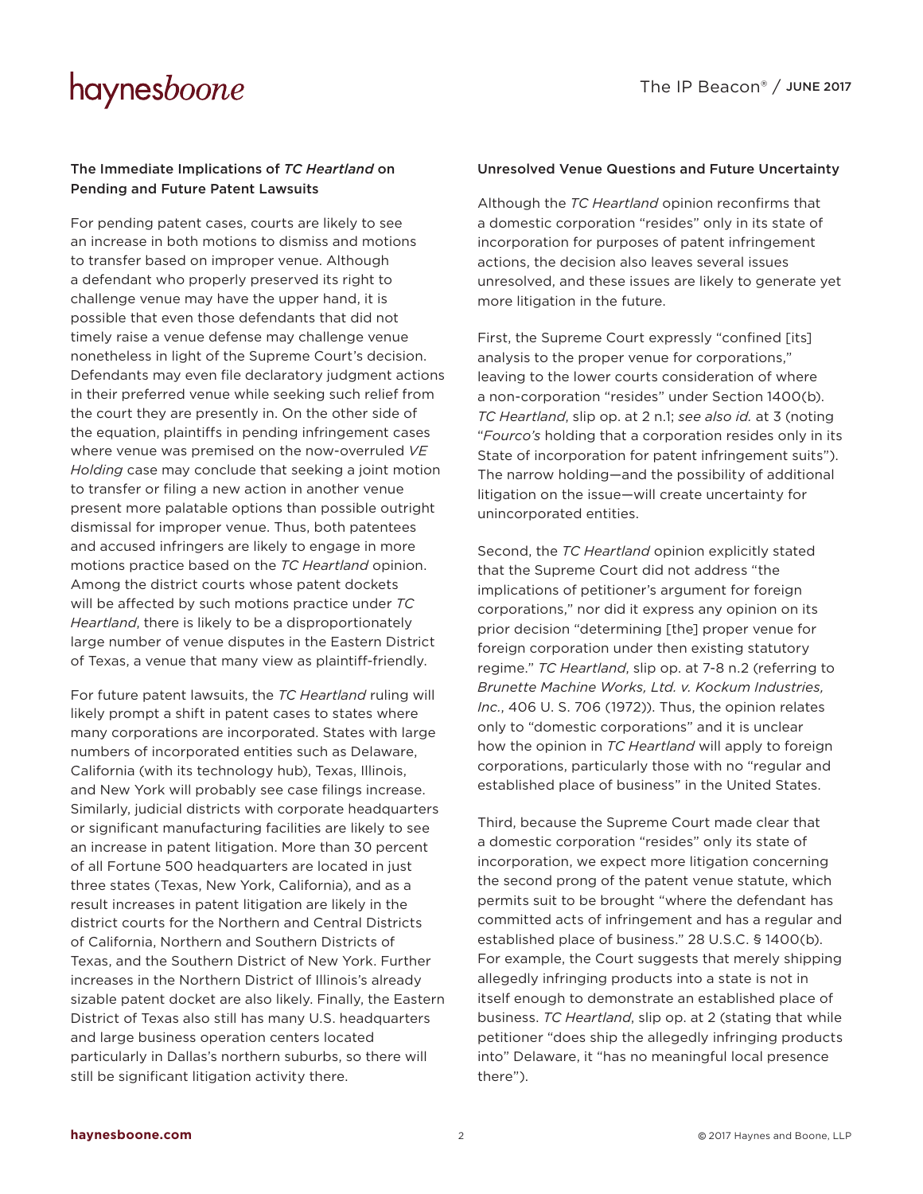### The Immediate Implications of *TC Heartland* on Pending and Future Patent Lawsuits

For pending patent cases, courts are likely to see an increase in both motions to dismiss and motions to transfer based on improper venue. Although a defendant who properly preserved its right to challenge venue may have the upper hand, it is possible that even those defendants that did not timely raise a venue defense may challenge venue nonetheless in light of the Supreme Court's decision. Defendants may even file declaratory judgment actions in their preferred venue while seeking such relief from the court they are presently in. On the other side of the equation, plaintiffs in pending infringement cases where venue was premised on the now-overruled *VE Holding* case may conclude that seeking a joint motion to transfer or filing a new action in another venue present more palatable options than possible outright dismissal for improper venue. Thus, both patentees and accused infringers are likely to engage in more motions practice based on the *TC Heartland* opinion. Among the district courts whose patent dockets will be affected by such motions practice under *TC Heartland*, there is likely to be a disproportionately large number of venue disputes in the Eastern District of Texas, a venue that many view as plaintiff-friendly.

For future patent lawsuits, the *TC Heartland* ruling will likely prompt a shift in patent cases to states where many corporations are incorporated. States with large numbers of incorporated entities such as Delaware, California (with its technology hub), Texas, Illinois, and New York will probably see case filings increase. Similarly, judicial districts with corporate headquarters or significant manufacturing facilities are likely to see an increase in patent litigation. More than 30 percent of all Fortune 500 headquarters are located in just three states (Texas, New York, California), and as a result increases in patent litigation are likely in the district courts for the Northern and Central Districts of California, Northern and Southern Districts of Texas, and the Southern District of New York. Further increases in the Northern District of Illinois's already sizable patent docket are also likely. Finally, the Eastern District of Texas also still has many U.S. headquarters and large business operation centers located particularly in Dallas's northern suburbs, so there will still be significant litigation activity there.

#### Unresolved Venue Questions and Future Uncertainty

Although the *TC Heartland* opinion reconfirms that a domestic corporation "resides" only in its state of incorporation for purposes of patent infringement actions, the decision also leaves several issues unresolved, and these issues are likely to generate yet more litigation in the future.

First, the Supreme Court expressly "confined [its] analysis to the proper venue for corporations," leaving to the lower courts consideration of where a non-corporation "resides" under Section 1400(b). *TC Heartland*, slip op. at 2 n.1; *see also id.* at 3 (noting "*Fourco's* holding that a corporation resides only in its State of incorporation for patent infringement suits"). The narrow holding—and the possibility of additional litigation on the issue—will create uncertainty for unincorporated entities.

Second, the *TC Heartland* opinion explicitly stated that the Supreme Court did not address "the implications of petitioner's argument for foreign corporations," nor did it express any opinion on its prior decision "determining [the] proper venue for foreign corporation under then existing statutory regime." *TC Heartland*, slip op. at 7-8 n.2 (referring to *Brunette Machine Works, Ltd. v. Kockum Industries, Inc.*, 406 U. S. 706 (1972)). Thus, the opinion relates only to "domestic corporations" and it is unclear how the opinion in *TC Heartland* will apply to foreign corporations, particularly those with no "regular and established place of business" in the United States.

Third, because the Supreme Court made clear that a domestic corporation "resides" only its state of incorporation, we expect more litigation concerning the second prong of the patent venue statute, which permits suit to be brought "where the defendant has committed acts of infringement and has a regular and established place of business." 28 U.S.C. § 1400(b). For example, the Court suggests that merely shipping allegedly infringing products into a state is not in itself enough to demonstrate an established place of business. *TC Heartland*, slip op. at 2 (stating that while petitioner "does ship the allegedly infringing products into" Delaware, it "has no meaningful local presence there").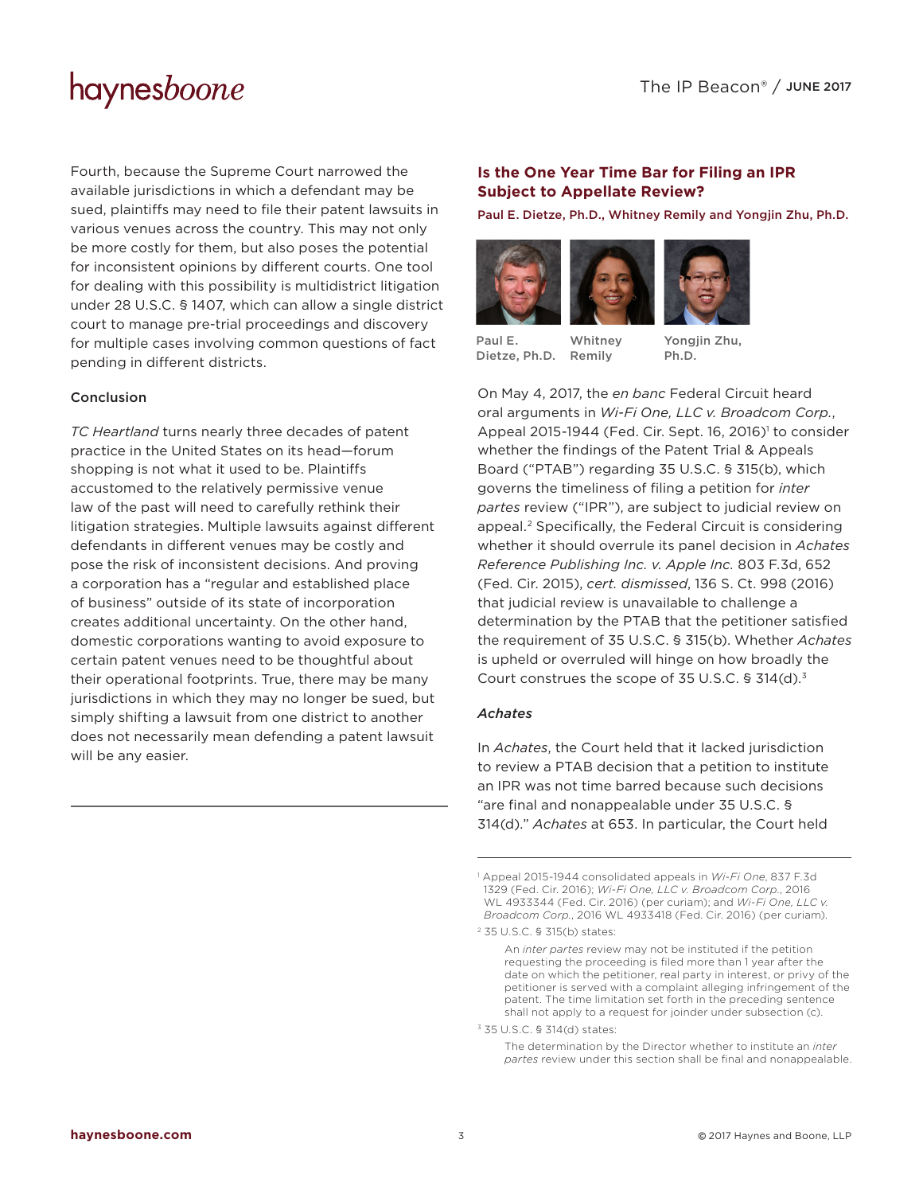Fourth, because the Supreme Court narrowed the available jurisdictions in which a defendant may be sued, plaintiffs may need to file their patent lawsuits in various venues across the country. This may not only be more costly for them, but also poses the potential for inconsistent opinions by different courts. One tool for dealing with this possibility is multidistrict litigation under 28 U.S.C. § 1407, which can allow a single district court to manage pre-trial proceedings and discovery for multiple cases involving common questions of fact pending in different districts.

### Conclusion

*TC Heartland* turns nearly three decades of patent practice in the United States on its head—forum shopping is not what it used to be. Plaintiffs accustomed to the relatively permissive venue law of the past will need to carefully rethink their litigation strategies. Multiple lawsuits against different defendants in different venues may be costly and pose the risk of inconsistent decisions. And proving a corporation has a "regular and established place of business" outside of its state of incorporation creates additional uncertainty. On the other hand, domestic corporations wanting to avoid exposure to certain patent venues need to be thoughtful about their operational footprints. True, there may be many jurisdictions in which they may no longer be sued, but simply shifting a lawsuit from one district to another does not necessarily mean defending a patent lawsuit will be any easier.

### **Is the One Year Time Bar for Filing an IPR Subject to Appellate Review?**

[Paul E. Dietze, Ph.D.](http://www.haynesboone.com/people/d/dietze-phd-paul), [Whitney Remily](http://www.haynesboone.com/people/r/remily-whitney) and [Yongjin Zhu, Ph.D.](http://www.haynesboone.com/people/z/zhu-yongjin)





[Paul E.](http://www.haynesboone.com/people/d/dietze-phd-paul)  [Dietze, Ph.D.](http://www.haynesboone.com/people/d/dietze-phd-paul) [Remily](http://www.haynesboone.com/people/r/remily-whitney)[Whitney](http://www.haynesboone.com/people/r/remily-whitney) 

Yongjin Zhu. [Ph.D.](http://www.haynesboone.com/people/z/zhu-yongjin)

On May 4, 2017, the *en banc* Federal Circuit heard oral arguments in *Wi-Fi One, LLC v. Broadcom Corp.*, Appeal 2015-1944 (Fed. Cir. Sept. 16, 2016)<sup>1</sup> to consider whether the findings of the Patent Trial & Appeals Board ("PTAB") regarding 35 U.S.C. § 315(b), which governs the timeliness of filing a petition for *inter partes* review ("IPR"), are subject to judicial review on appeal.2 Specifically, the Federal Circuit is considering whether it should overrule its panel decision in *Achates Reference Publishing Inc. v. Apple Inc.* 803 F.3d, 652 (Fed. Cir. 2015), *cert. dismissed*, 136 S. Ct. 998 (2016) that judicial review is unavailable to challenge a determination by the PTAB that the petitioner satisfied the requirement of 35 U.S.C. § 315(b). Whether *Achates* is upheld or overruled will hinge on how broadly the Court construes the scope of 35 U.S.C. § 314(d).<sup>3</sup>

#### *Achates*

In *Achates*, the Court held that it lacked jurisdiction to review a PTAB decision that a petition to institute an IPR was not time barred because such decisions "are final and nonappealable under 35 U.S.C. § 314(d)." *Achates* at 653. In particular, the Court held

<sup>1</sup> Appeal 2015-1944 consolidated appeals in *Wi-Fi One*, 837 F.3d 1329 (Fed. Cir. 2016); *Wi-Fi One, LLC v. Broadcom Corp.*, 2016 WL 4933344 (Fed. Cir. 2016) (per curiam); and *Wi-Fi One, LLC v. Broadcom Corp.*, 2016 WL 4933418 (Fed. Cir. 2016) (per curiam).

<sup>2 35</sup> U.S.C. § 315(b) states:

An *inter partes* review may not be instituted if the petition requesting the proceeding is filed more than 1 year after the date on which the petitioner, real party in interest, or privy of the petitioner is served with a complaint alleging infringement of the patent. The time limitation set forth in the preceding sentence shall not apply to a request for joinder under subsection (c).

<sup>3 35</sup> U.S.C. § 314(d) states:

The determination by the Director whether to institute an *inter partes* review under this section shall be final and nonappealable.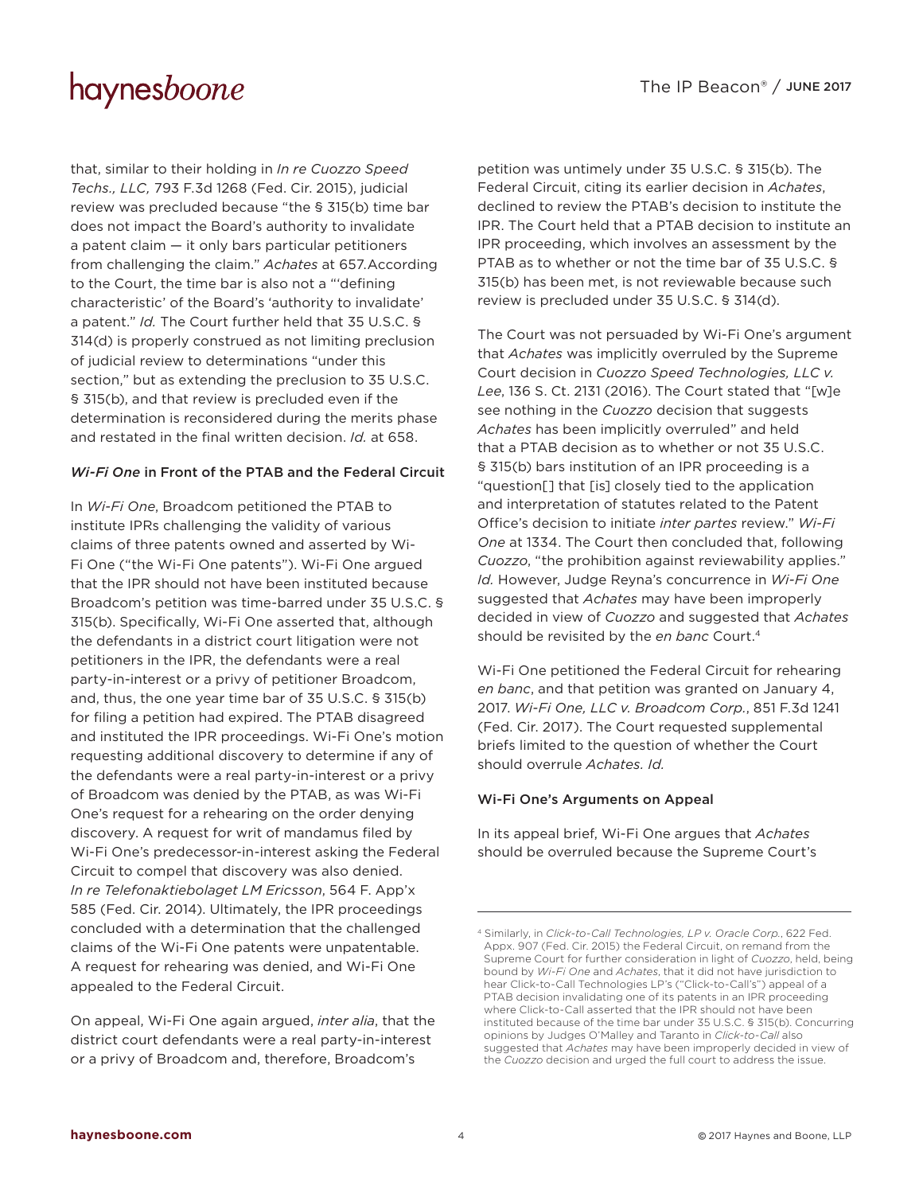that, similar to their holding in *In re Cuozzo Speed Techs., LLC,* 793 F.3d 1268 (Fed. Cir. 2015), judicial review was precluded because "the § 315(b) time bar does not impact the Board's authority to invalidate a patent claim — it only bars particular petitioners from challenging the claim." *Achates* at 657.According to the Court, the time bar is also not a "'defining characteristic' of the Board's 'authority to invalidate' a patent." *Id.* The Court further held that 35 U.S.C. § 314(d) is properly construed as not limiting preclusion of judicial review to determinations "under this section," but as extending the preclusion to 35 U.S.C. § 315(b), and that review is precluded even if the determination is reconsidered during the merits phase and restated in the final written decision. *Id.* at 658.

### *Wi-Fi One* in Front of the PTAB and the Federal Circuit

In *Wi-Fi One*, Broadcom petitioned the PTAB to institute IPRs challenging the validity of various claims of three patents owned and asserted by Wi-Fi One ("the Wi-Fi One patents"). Wi-Fi One argued that the IPR should not have been instituted because Broadcom's petition was time-barred under 35 U.S.C. § 315(b). Specifically, Wi-Fi One asserted that, although the defendants in a district court litigation were not petitioners in the IPR, the defendants were a real party-in-interest or a privy of petitioner Broadcom, and, thus, the one year time bar of 35 U.S.C. § 315(b) for filing a petition had expired. The PTAB disagreed and instituted the IPR proceedings. Wi-Fi One's motion requesting additional discovery to determine if any of the defendants were a real party-in-interest or a privy of Broadcom was denied by the PTAB, as was Wi-Fi One's request for a rehearing on the order denying discovery. A request for writ of mandamus filed by Wi-Fi One's predecessor-in-interest asking the Federal Circuit to compel that discovery was also denied. *In re Telefonaktiebolaget LM Ericsson*, 564 F. App'x 585 (Fed. Cir. 2014). Ultimately, the IPR proceedings concluded with a determination that the challenged claims of the Wi-Fi One patents were unpatentable. A request for rehearing was denied, and Wi-Fi One appealed to the Federal Circuit.

On appeal, Wi-Fi One again argued, *inter alia*, that the district court defendants were a real party-in-interest or a privy of Broadcom and, therefore, Broadcom's

petition was untimely under 35 U.S.C. § 315(b). The Federal Circuit, citing its earlier decision in *Achates*, declined to review the PTAB's decision to institute the IPR. The Court held that a PTAB decision to institute an IPR proceeding, which involves an assessment by the PTAB as to whether or not the time bar of 35 U.S.C. § 315(b) has been met, is not reviewable because such review is precluded under 35 U.S.C. § 314(d).

The Court was not persuaded by Wi-Fi One's argument that *Achates* was implicitly overruled by the Supreme Court decision in *Cuozzo Speed Technologies, LLC v. Lee*, 136 S. Ct. 2131 (2016). The Court stated that "[w]e see nothing in the *Cuozzo* decision that suggests *Achates* has been implicitly overruled" and held that a PTAB decision as to whether or not 35 U.S.C. § 315(b) bars institution of an IPR proceeding is a "question[] that [is] closely tied to the application and interpretation of statutes related to the Patent Office's decision to initiate *inter partes* review." *Wi-Fi One* at 1334. The Court then concluded that, following *Cuozzo*, "the prohibition against reviewability applies." *Id.* However, Judge Reyna's concurrence in *Wi-Fi One* suggested that *Achates* may have been improperly decided in view of *Cuozzo* and suggested that *Achates* should be revisited by the *en banc* Court.4

Wi-Fi One petitioned the Federal Circuit for rehearing *en banc*, and that petition was granted on January 4, 2017. *Wi-Fi One, LLC v. Broadcom Corp.*, 851 F.3d 1241 (Fed. Cir. 2017). The Court requested supplemental briefs limited to the question of whether the Court should overrule *Achates. Id.*

#### Wi-Fi One's Arguments on Appeal

In its appeal brief, Wi-Fi One argues that *Achates* should be overruled because the Supreme Court's

<sup>4</sup> Similarly, in *Click-to-Call Technologies, LP v. Oracle Corp.*, 622 Fed. Appx. 907 (Fed. Cir. 2015) the Federal Circuit, on remand from the Supreme Court for further consideration in light of *Cuozzo*, held, being bound by *Wi-Fi One* and *Achates*, that it did not have jurisdiction to hear Click-to-Call Technologies LP's ("Click-to-Call's") appeal of a PTAB decision invalidating one of its patents in an IPR proceeding where Click-to-Call asserted that the IPR should not have been instituted because of the time bar under 35 U.S.C. § 315(b). Concurring opinions by Judges O'Malley and Taranto in *Click-to-Call* also suggested that *Achates* may have been improperly decided in view of the *Cuozzo* decision and urged the full court to address the issue.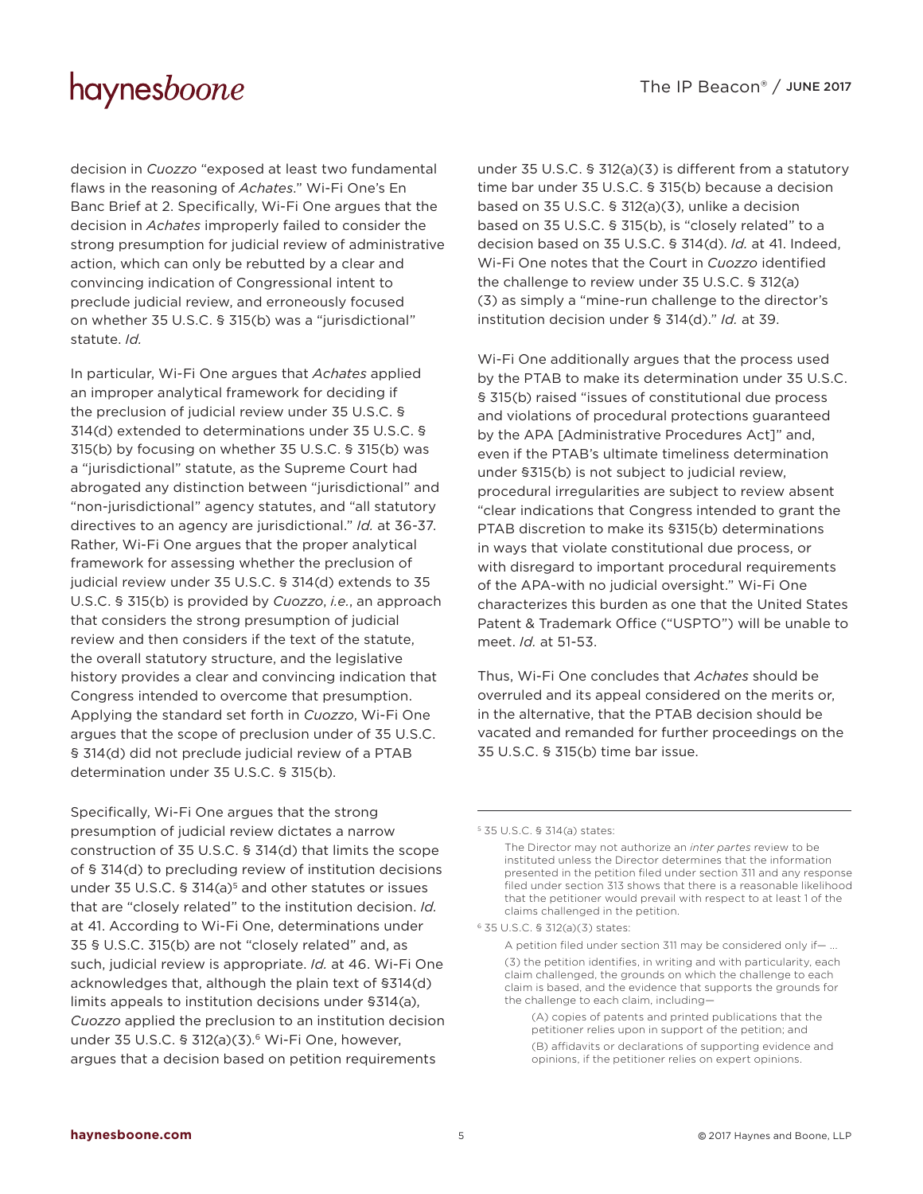decision in *Cuozzo* "exposed at least two fundamental flaws in the reasoning of *Achates*." Wi-Fi One's En Banc Brief at 2. Specifically, Wi-Fi One argues that the decision in *Achates* improperly failed to consider the strong presumption for judicial review of administrative action, which can only be rebutted by a clear and convincing indication of Congressional intent to preclude judicial review, and erroneously focused on whether 35 U.S.C. § 315(b) was a "jurisdictional" statute. *Id.*

In particular, Wi-Fi One argues that *Achates* applied an improper analytical framework for deciding if the preclusion of judicial review under 35 U.S.C. § 314(d) extended to determinations under 35 U.S.C. § 315(b) by focusing on whether 35 U.S.C. § 315(b) was a "jurisdictional" statute, as the Supreme Court had abrogated any distinction between "jurisdictional" and "non-jurisdictional" agency statutes, and "all statutory directives to an agency are jurisdictional." *Id.* at 36-37. Rather, Wi-Fi One argues that the proper analytical framework for assessing whether the preclusion of judicial review under 35 U.S.C. § 314(d) extends to 35 U.S.C. § 315(b) is provided by *Cuozzo*, *i.e.*, an approach that considers the strong presumption of judicial review and then considers if the text of the statute, the overall statutory structure, and the legislative history provides a clear and convincing indication that Congress intended to overcome that presumption. Applying the standard set forth in *Cuozzo*, Wi-Fi One argues that the scope of preclusion under of 35 U.S.C. § 314(d) did not preclude judicial review of a PTAB determination under 35 U.S.C. § 315(b).

Specifically, Wi-Fi One argues that the strong presumption of judicial review dictates a narrow construction of 35 U.S.C. § 314(d) that limits the scope of § 314(d) to precluding review of institution decisions under 35 U.S.C. § 314(a)<sup>5</sup> and other statutes or issues that are "closely related" to the institution decision. *Id.* at 41. According to Wi-Fi One, determinations under 35 § U.S.C. 315(b) are not "closely related" and, as such, judicial review is appropriate. *Id.* at 46. Wi-Fi One acknowledges that, although the plain text of §314(d) limits appeals to institution decisions under §314(a), *Cuozzo* applied the preclusion to an institution decision under 35 U.S.C. § 312(a)(3).<sup>6</sup> Wi-Fi One, however, argues that a decision based on petition requirements

under 35 U.S.C. § 312(a)(3) is different from a statutory time bar under 35 U.S.C. § 315(b) because a decision based on 35 U.S.C. § 312(a)(3), unlike a decision based on 35 U.S.C. § 315(b), is "closely related" to a decision based on 35 U.S.C. § 314(d). *Id.* at 41. Indeed, Wi-Fi One notes that the Court in *Cuozzo* identified the challenge to review under 35 U.S.C. § 312(a) (3) as simply a "mine-run challenge to the director's institution decision under § 314(d)." *Id.* at 39.

Wi-Fi One additionally argues that the process used by the PTAB to make its determination under 35 U.S.C. § 315(b) raised "issues of constitutional due process and violations of procedural protections guaranteed by the APA [Administrative Procedures Act]" and, even if the PTAB's ultimate timeliness determination under §315(b) is not subject to judicial review, procedural irregularities are subject to review absent "clear indications that Congress intended to grant the PTAB discretion to make its §315(b) determinations in ways that violate constitutional due process, or with disregard to important procedural requirements of the APA-with no judicial oversight." Wi-Fi One characterizes this burden as one that the United States Patent & Trademark Office ("USPTO") will be unable to meet. *Id.* at 51-53.

Thus, Wi-Fi One concludes that *Achates* should be overruled and its appeal considered on the merits or, in the alternative, that the PTAB decision should be vacated and remanded for further proceedings on the 35 U.S.C. § 315(b) time bar issue.

<sup>5</sup> 35 U.S.C. § 314(a) states:

The Director may not authorize an *inter partes* review to be instituted unless the Director determines that the information presented in the petition filed under section 311 and any response filed under section 313 shows that there is a reasonable likelihood that the petitioner would prevail with respect to at least 1 of the claims challenged in the petition.

<sup>6</sup> 35 U.S.C. § 312(a)(3) states:

A petition filed under section 311 may be considered only if— ...

<sup>(3)</sup> the petition identifies, in writing and with particularity, each claim challenged, the grounds on which the challenge to each claim is based, and the evidence that supports the grounds for the challenge to each claim, including—

<sup>(</sup>A) copies of patents and printed publications that the petitioner relies upon in support of the petition; and (B) affidavits or declarations of supporting evidence and opinions, if the petitioner relies on expert opinions.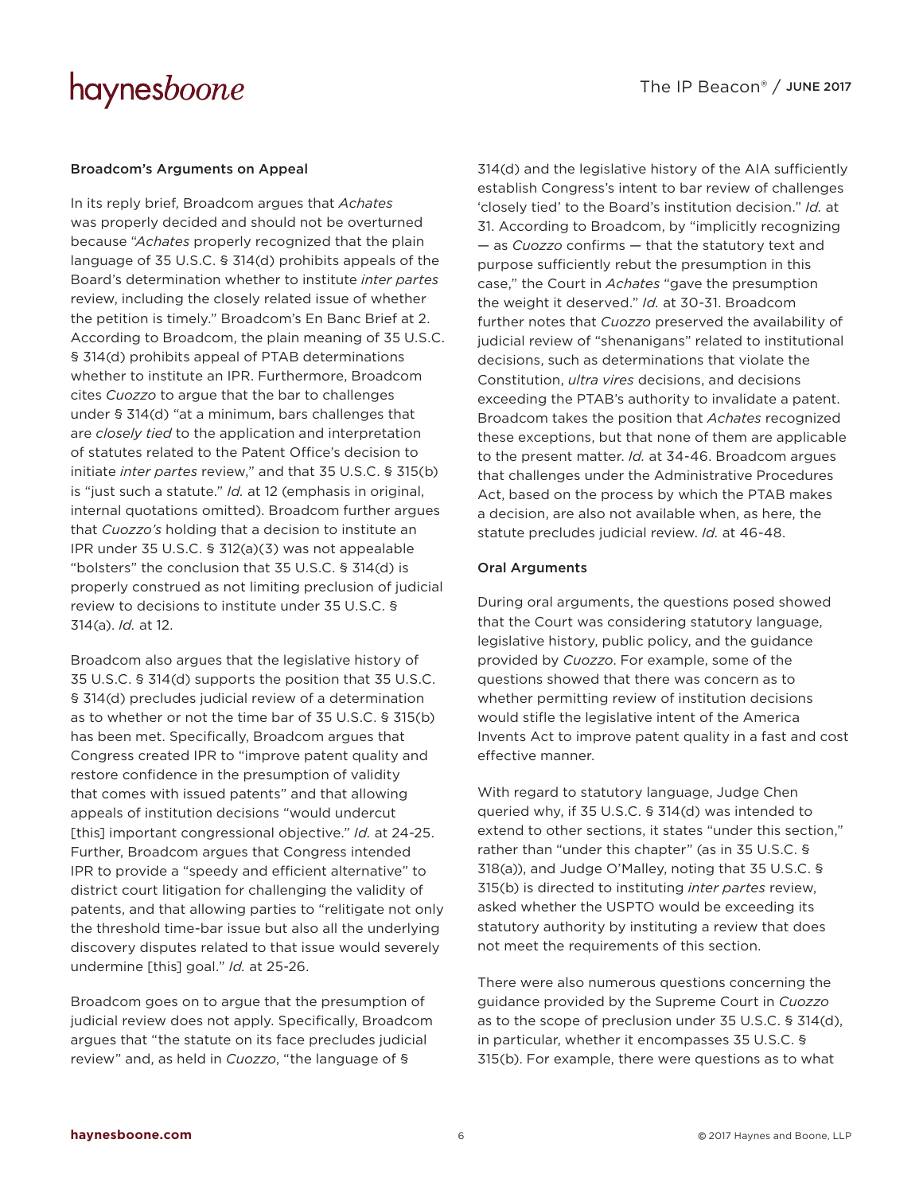#### Broadcom's Arguments on Appeal

In its reply brief, Broadcom argues that *Achates* was properly decided and should not be overturned because "*Achates* properly recognized that the plain language of 35 U.S.C. § 314(d) prohibits appeals of the Board's determination whether to institute *inter partes* review, including the closely related issue of whether the petition is timely." Broadcom's En Banc Brief at 2. According to Broadcom, the plain meaning of 35 U.S.C. § 314(d) prohibits appeal of PTAB determinations whether to institute an IPR. Furthermore, Broadcom cites *Cuozzo* to argue that the bar to challenges under § 314(d) "at a minimum, bars challenges that are *closely tied* to the application and interpretation of statutes related to the Patent Office's decision to initiate *inter partes* review," and that 35 U.S.C. § 315(b) is "just such a statute." *Id.* at 12 (emphasis in original, internal quotations omitted). Broadcom further argues that *Cuozzo's* holding that a decision to institute an IPR under 35 U.S.C. § 312(a)(3) was not appealable "bolsters" the conclusion that 35 U.S.C. § 314(d) is properly construed as not limiting preclusion of judicial review to decisions to institute under 35 U.S.C. § 314(a). *Id.* at 12.

Broadcom also argues that the legislative history of 35 U.S.C. § 314(d) supports the position that 35 U.S.C. § 314(d) precludes judicial review of a determination as to whether or not the time bar of 35 U.S.C. § 315(b) has been met. Specifically, Broadcom argues that Congress created IPR to "improve patent quality and restore confidence in the presumption of validity that comes with issued patents" and that allowing appeals of institution decisions "would undercut [this] important congressional objective." *Id.* at 24-25. Further, Broadcom argues that Congress intended IPR to provide a "speedy and efficient alternative" to district court litigation for challenging the validity of patents, and that allowing parties to "relitigate not only the threshold time-bar issue but also all the underlying discovery disputes related to that issue would severely undermine [this] goal." *Id.* at 25-26.

Broadcom goes on to argue that the presumption of judicial review does not apply. Specifically, Broadcom argues that "the statute on its face precludes judicial review" and, as held in *Cuozzo*, "the language of §

314(d) and the legislative history of the AIA sufficiently establish Congress's intent to bar review of challenges 'closely tied' to the Board's institution decision." *Id.* at 31. According to Broadcom, by "implicitly recognizing — as *Cuozzo* confirms — that the statutory text and purpose sufficiently rebut the presumption in this case," the Court in *Achates* "gave the presumption the weight it deserved." *Id.* at 30-31. Broadcom further notes that *Cuozzo* preserved the availability of judicial review of "shenanigans" related to institutional decisions, such as determinations that violate the Constitution, *ultra vires* decisions, and decisions exceeding the PTAB's authority to invalidate a patent. Broadcom takes the position that *Achates* recognized these exceptions, but that none of them are applicable to the present matter. *Id.* at 34-46. Broadcom argues that challenges under the Administrative Procedures Act, based on the process by which the PTAB makes a decision, are also not available when, as here, the statute precludes judicial review. *Id.* at 46-48.

#### Oral Arguments

During oral arguments, the questions posed showed that the Court was considering statutory language, legislative history, public policy, and the guidance provided by *Cuozzo*. For example, some of the questions showed that there was concern as to whether permitting review of institution decisions would stifle the legislative intent of the America Invents Act to improve patent quality in a fast and cost effective manner.

With regard to statutory language, Judge Chen queried why, if 35 U.S.C. § 314(d) was intended to extend to other sections, it states "under this section," rather than "under this chapter" (as in 35 U.S.C. § 318(a)), and Judge O'Malley, noting that 35 U.S.C. § 315(b) is directed to instituting *inter partes* review, asked whether the USPTO would be exceeding its statutory authority by instituting a review that does not meet the requirements of this section.

There were also numerous questions concerning the guidance provided by the Supreme Court in *Cuozzo* as to the scope of preclusion under 35 U.S.C. § 314(d), in particular, whether it encompasses 35 U.S.C. § 315(b). For example, there were questions as to what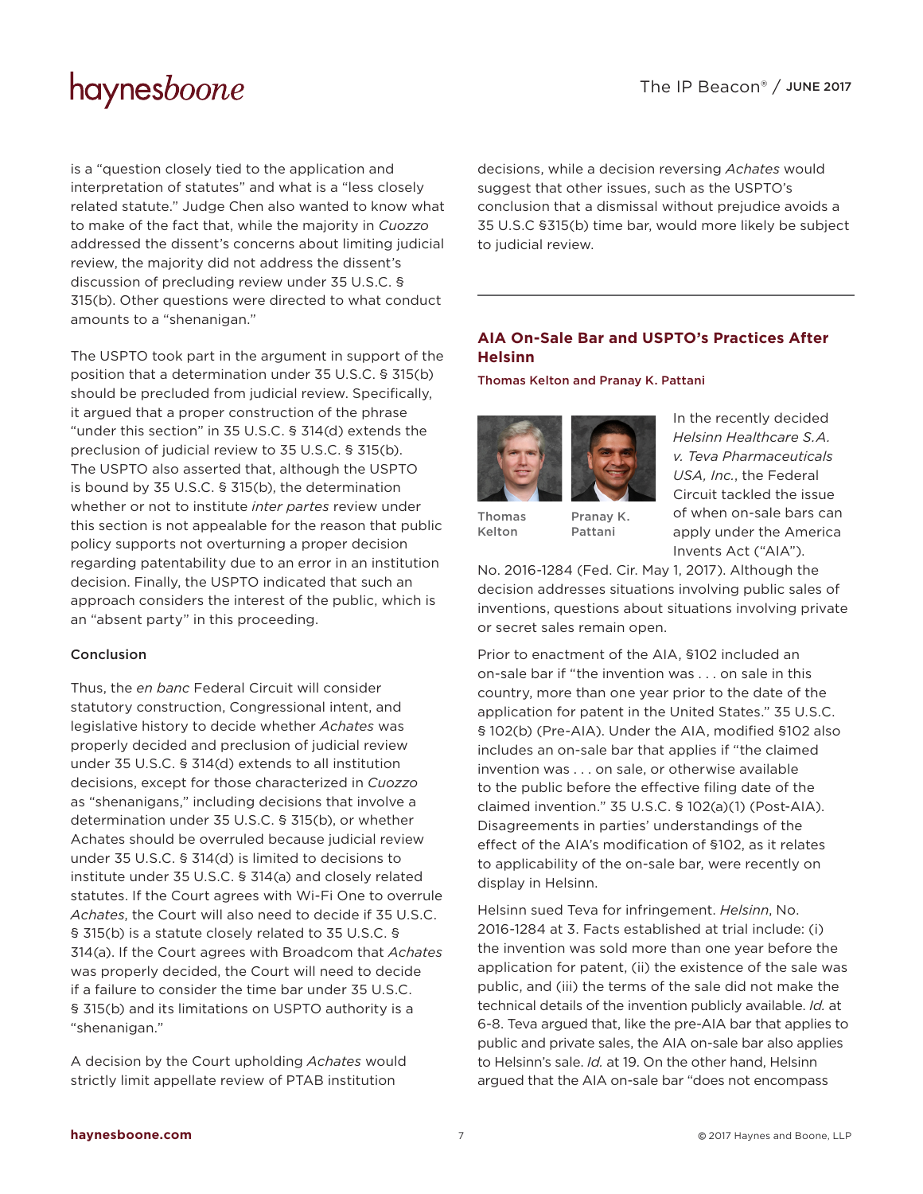is a "question closely tied to the application and interpretation of statutes" and what is a "less closely related statute." Judge Chen also wanted to know what to make of the fact that, while the majority in *Cuozzo* addressed the dissent's concerns about limiting judicial review, the majority did not address the dissent's discussion of precluding review under 35 U.S.C. § 315(b). Other questions were directed to what conduct amounts to a "shenanigan."

The USPTO took part in the argument in support of the position that a determination under 35 U.S.C. § 315(b) should be precluded from judicial review. Specifically, it argued that a proper construction of the phrase "under this section" in 35 U.S.C. § 314(d) extends the preclusion of judicial review to 35 U.S.C. § 315(b). The USPTO also asserted that, although the USPTO is bound by 35 U.S.C. § 315(b), the determination whether or not to institute *inter partes* review under this section is not appealable for the reason that public policy supports not overturning a proper decision regarding patentability due to an error in an institution decision. Finally, the USPTO indicated that such an approach considers the interest of the public, which is an "absent party" in this proceeding.

#### Conclusion

Thus, the *en banc* Federal Circuit will consider statutory construction, Congressional intent, and legislative history to decide whether *Achates* was properly decided and preclusion of judicial review under 35 U.S.C. § 314(d) extends to all institution decisions, except for those characterized in *Cuozzo* as "shenanigans," including decisions that involve a determination under 35 U.S.C. § 315(b), or whether Achates should be overruled because judicial review under 35 U.S.C. § 314(d) is limited to decisions to institute under 35 U.S.C. § 314(a) and closely related statutes. If the Court agrees with Wi-Fi One to overrule *Achates*, the Court will also need to decide if 35 U.S.C. § 315(b) is a statute closely related to 35 U.S.C. § 314(a). If the Court agrees with Broadcom that *Achates* was properly decided, the Court will need to decide if a failure to consider the time bar under 35 U.S.C. § 315(b) and its limitations on USPTO authority is a "shenanigan."

A decision by the Court upholding *Achates* would strictly limit appellate review of PTAB institution

decisions, while a decision reversing *Achates* would suggest that other issues, such as the USPTO's conclusion that a dismissal without prejudice avoids a 35 U.S.C §315(b) time bar, would more likely be subject to judicial review.

### **AIA On-Sale Bar and USPTO's Practices After Helsinn**

[Thomas Kelton](http://www.haynesboone.com/people/k/kelton-thomas) and [Pranay K. Pattani](http://www.haynesboone.com/people/p/pattani-pranay)



[Thomas](http://www.haynesboone.com/people/k/kelton-thomas)  [Kelton](http://www.haynesboone.com/people/k/kelton-thomas) [Pranay K.](http://www.haynesboone.com/people/p/pattani-pranay)  [Pattani](http://www.haynesboone.com/people/p/pattani-pranay)

In the recently decided *Helsinn Healthcare S.A. v. Teva Pharmaceuticals USA, Inc.*, the Federal Circuit tackled the issue of when on-sale bars can apply under the America Invents Act ("AIA").

No. 2016-1284 (Fed. Cir. May 1, 2017). Although the decision addresses situations involving public sales of inventions, questions about situations involving private or secret sales remain open.

Prior to enactment of the AIA, §102 included an on-sale bar if "the invention was . . . on sale in this country, more than one year prior to the date of the application for patent in the United States." 35 U.S.C. § 102(b) (Pre-AIA). Under the AIA, modified §102 also includes an on-sale bar that applies if "the claimed invention was . . . on sale, or otherwise available to the public before the effective filing date of the claimed invention." 35 U.S.C. § 102(a)(1) (Post-AIA). Disagreements in parties' understandings of the effect of the AIA's modification of §102, as it relates to applicability of the on-sale bar, were recently on display in Helsinn.

Helsinn sued Teva for infringement. *Helsinn*, No. 2016-1284 at 3. Facts established at trial include: (i) the invention was sold more than one year before the application for patent, (ii) the existence of the sale was public, and (iii) the terms of the sale did not make the technical details of the invention publicly available. *Id.* at 6-8. Teva argued that, like the pre-AIA bar that applies to public and private sales, the AIA on-sale bar also applies to Helsinn's sale. *Id.* at 19. On the other hand, Helsinn argued that the AIA on-sale bar "does not encompass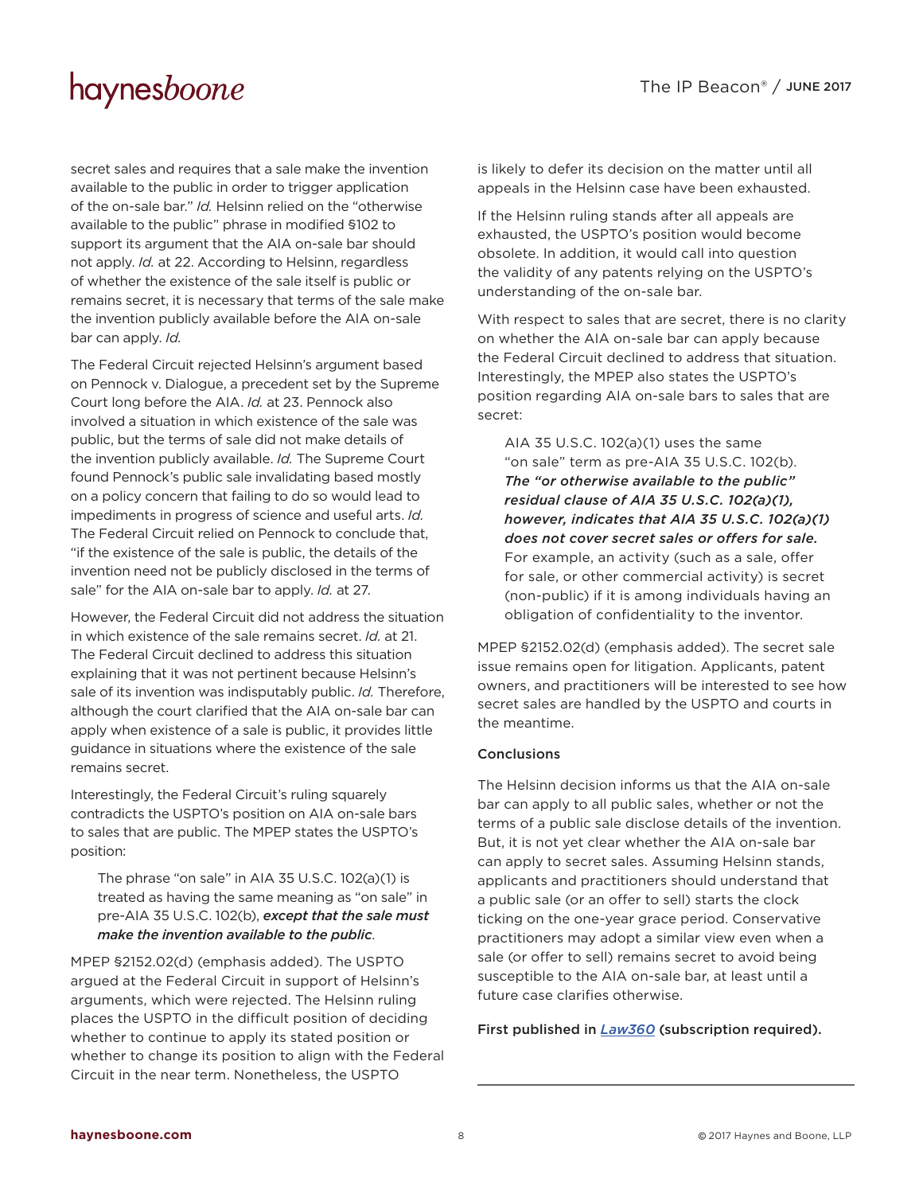secret sales and requires that a sale make the invention available to the public in order to trigger application of the on-sale bar." *Id.* Helsinn relied on the "otherwise available to the public" phrase in modified §102 to support its argument that the AIA on-sale bar should not apply. *Id.* at 22. According to Helsinn, regardless of whether the existence of the sale itself is public or remains secret, it is necessary that terms of the sale make the invention publicly available before the AIA on-sale bar can apply. *Id.*

The Federal Circuit rejected Helsinn's argument based on Pennock v. Dialogue, a precedent set by the Supreme Court long before the AIA. *Id.* at 23. Pennock also involved a situation in which existence of the sale was public, but the terms of sale did not make details of the invention publicly available. *Id.* The Supreme Court found Pennock's public sale invalidating based mostly on a policy concern that failing to do so would lead to impediments in progress of science and useful arts. *Id.* The Federal Circuit relied on Pennock to conclude that, "if the existence of the sale is public, the details of the invention need not be publicly disclosed in the terms of sale" for the AIA on-sale bar to apply. *Id.* at 27.

However, the Federal Circuit did not address the situation in which existence of the sale remains secret. *Id.* at 21. The Federal Circuit declined to address this situation explaining that it was not pertinent because Helsinn's sale of its invention was indisputably public. *Id.* Therefore, although the court clarified that the AIA on-sale bar can apply when existence of a sale is public, it provides little guidance in situations where the existence of the sale remains secret.

Interestingly, the Federal Circuit's ruling squarely contradicts the USPTO's position on AIA on-sale bars to sales that are public. The MPEP states the USPTO's position:

The phrase "on sale" in AIA 35 U.S.C. 102(a)(1) is treated as having the same meaning as "on sale" in pre-AIA 35 U.S.C. 102(b), *except that the sale must make the invention available to the public*.

MPEP §2152.02(d) (emphasis added). The USPTO argued at the Federal Circuit in support of Helsinn's arguments, which were rejected. The Helsinn ruling places the USPTO in the difficult position of deciding whether to continue to apply its stated position or whether to change its position to align with the Federal Circuit in the near term. Nonetheless, the USPTO

is likely to defer its decision on the matter until all appeals in the Helsinn case have been exhausted.

If the Helsinn ruling stands after all appeals are exhausted, the USPTO's position would become obsolete. In addition, it would call into question the validity of any patents relying on the USPTO's understanding of the on-sale bar.

With respect to sales that are secret, there is no clarity on whether the AIA on-sale bar can apply because the Federal Circuit declined to address that situation. Interestingly, the MPEP also states the USPTO's position regarding AIA on-sale bars to sales that are secret:

AIA 35 U.S.C. 102(a)(1) uses the same "on sale" term as pre-AIA 35 U.S.C. 102(b). *The "or otherwise available to the public" residual clause of AIA 35 U.S.C. 102(a)(1), however, indicates that AIA 35 U.S.C. 102(a)(1) does not cover secret sales or offers for sale.* For example, an activity (such as a sale, offer for sale, or other commercial activity) is secret (non-public) if it is among individuals having an obligation of confidentiality to the inventor.

MPEP §2152.02(d) (emphasis added). The secret sale issue remains open for litigation. Applicants, patent owners, and practitioners will be interested to see how secret sales are handled by the USPTO and courts in the meantime.

#### Conclusions

The Helsinn decision informs us that the AIA on-sale bar can apply to all public sales, whether or not the terms of a public sale disclose details of the invention. But, it is not yet clear whether the AIA on-sale bar can apply to secret sales. Assuming Helsinn stands, applicants and practitioners should understand that a public sale (or an offer to sell) starts the clock ticking on the one-year grace period. Conservative practitioners may adopt a similar view even when a sale (or offer to sell) remains secret to avoid being susceptible to the AIA on-sale bar, at least until a future case clarifies otherwise.

First published in *[Law360](https://www.law360.com/articles/928135/the-on-sale-bar-and-uspto-practices-after-helsinn)* (subscription required).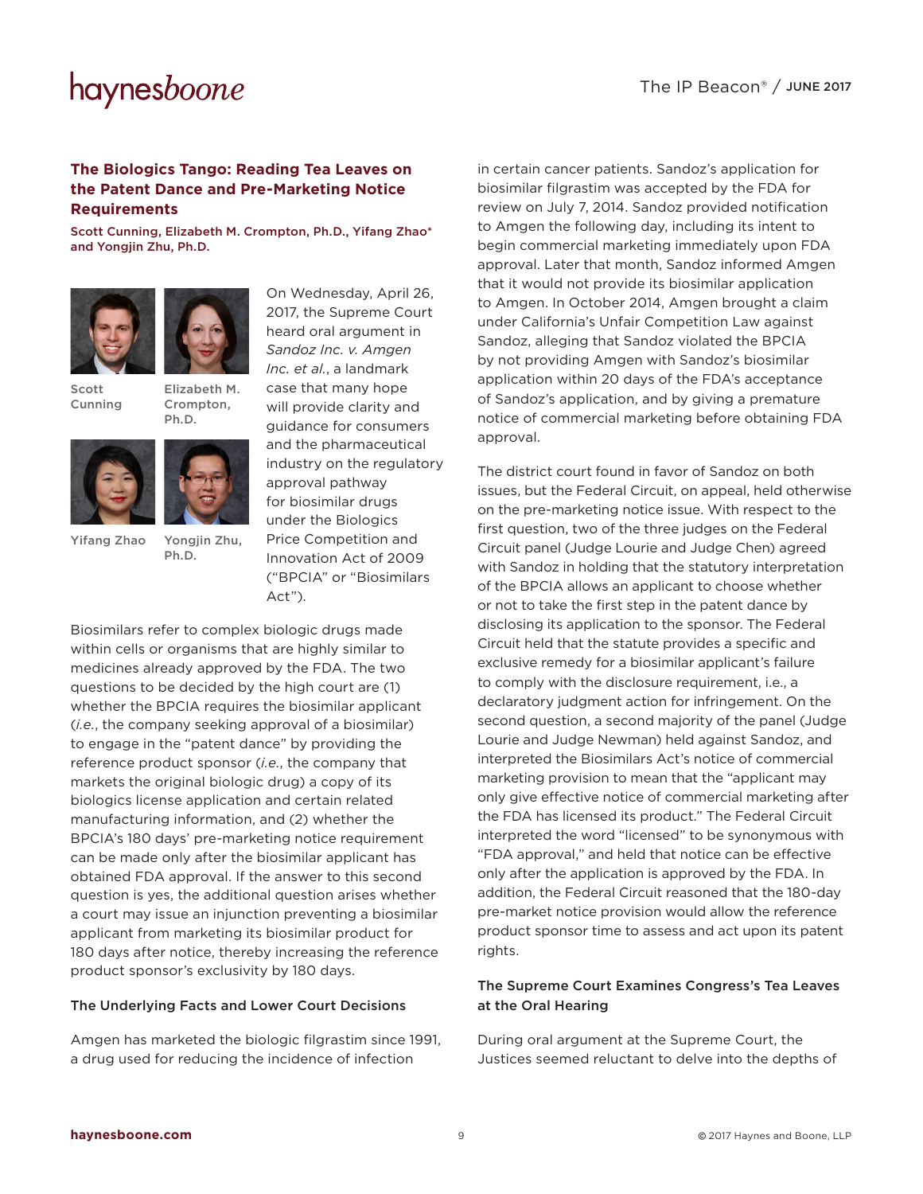### **The Biologics Tango: Reading Tea Leaves on the Patent Dance and Pre-Marketing Notice Requirements**

[Scott Cunning](http://www.haynesboone.com/people/c/cunning-scott), [Elizabeth M. Crompton, Ph.D.](http://www.haynesboone.com/people/c/crompton-elizabeth), [Yifang Zhao\\*](http://www.haynesboone.com/people/z/zhao-eva) and [Yongjin Zhu, Ph.D.](http://www.haynesboone.com/people/z/zhu-yongjin)





[Scott](http://www.haynesboone.com/people/c/cunning-scott)  [Cunning](http://www.haynesboone.com/people/c/cunning-scott)

[Elizabeth M.](http://www.haynesboone.com/people/c/crompton-elizabeth)  [Crompton,](http://www.haynesboone.com/people/c/crompton-elizabeth)  [Ph.D.](http://www.haynesboone.com/people/c/crompton-elizabeth)

[Yongjin Zhu,](http://www.haynesboone.com/people/z/zhu-yongjin)  [Ph.D.](http://www.haynesboone.com/people/z/zhu-yongjin)



[Yifang Zhao](http://www.haynesboone.com/people/z/zhao-eva)

On Wednesday, April 26, 2017, the Supreme Court heard oral argument in *Sandoz Inc. v. Amgen Inc. et al.*, a landmark case that many hope will provide clarity and guidance for consumers and the pharmaceutical industry on the regulatory approval pathway for biosimilar drugs under the Biologics Price Competition and Innovation Act of 2009 ("BPCIA" or "Biosimilars Act").

Biosimilars refer to complex biologic drugs made within cells or organisms that are highly similar to medicines already approved by the FDA. The two questions to be decided by the high court are (1) whether the BPCIA requires the biosimilar applicant (*i.e.*, the company seeking approval of a biosimilar) to engage in the "patent dance" by providing the reference product sponsor (*i.e.*, the company that markets the original biologic drug) a copy of its biologics license application and certain related manufacturing information, and (2) whether the BPCIA's 180 days' pre-marketing notice requirement can be made only after the biosimilar applicant has obtained FDA approval. If the answer to this second question is yes, the additional question arises whether a court may issue an injunction preventing a biosimilar applicant from marketing its biosimilar product for 180 days after notice, thereby increasing the reference product sponsor's exclusivity by 180 days.

#### The Underlying Facts and Lower Court Decisions

Amgen has marketed the biologic filgrastim since 1991, a drug used for reducing the incidence of infection

in certain cancer patients. Sandoz's application for biosimilar filgrastim was accepted by the FDA for review on July 7, 2014. Sandoz provided notification to Amgen the following day, including its intent to begin commercial marketing immediately upon FDA approval. Later that month, Sandoz informed Amgen that it would not provide its biosimilar application to Amgen. In October 2014, Amgen brought a claim under California's Unfair Competition Law against Sandoz, alleging that Sandoz violated the BPCIA by not providing Amgen with Sandoz's biosimilar application within 20 days of the FDA's acceptance of Sandoz's application, and by giving a premature notice of commercial marketing before obtaining FDA approval.

The district court found in favor of Sandoz on both issues, but the Federal Circuit, on appeal, held otherwise on the pre-marketing notice issue. With respect to the first question, two of the three judges on the Federal Circuit panel (Judge Lourie and Judge Chen) agreed with Sandoz in holding that the statutory interpretation of the BPCIA allows an applicant to choose whether or not to take the first step in the patent dance by disclosing its application to the sponsor. The Federal Circuit held that the statute provides a specific and exclusive remedy for a biosimilar applicant's failure to comply with the disclosure requirement, i.e., a declaratory judgment action for infringement. On the second question, a second majority of the panel (Judge Lourie and Judge Newman) held against Sandoz, and interpreted the Biosimilars Act's notice of commercial marketing provision to mean that the "applicant may only give effective notice of commercial marketing after the FDA has licensed its product." The Federal Circuit interpreted the word "licensed" to be synonymous with "FDA approval," and held that notice can be effective only after the application is approved by the FDA. In addition, the Federal Circuit reasoned that the 180-day pre-market notice provision would allow the reference product sponsor time to assess and act upon its patent rights.

### The Supreme Court Examines Congress's Tea Leaves at the Oral Hearing

During oral argument at the Supreme Court, the Justices seemed reluctant to delve into the depths of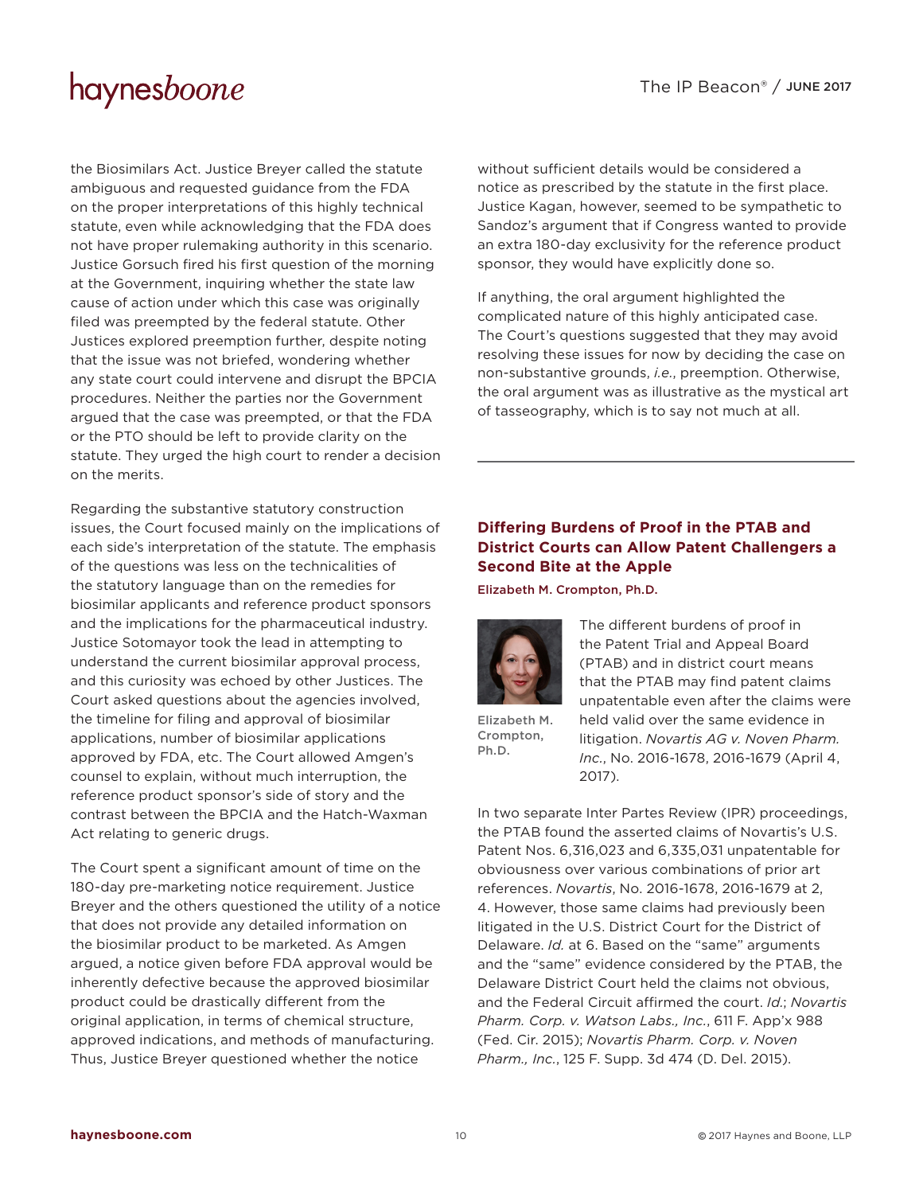the Biosimilars Act. Justice Breyer called the statute ambiguous and requested guidance from the FDA on the proper interpretations of this highly technical statute, even while acknowledging that the FDA does not have proper rulemaking authority in this scenario. Justice Gorsuch fired his first question of the morning at the Government, inquiring whether the state law cause of action under which this case was originally filed was preempted by the federal statute. Other Justices explored preemption further, despite noting that the issue was not briefed, wondering whether any state court could intervene and disrupt the BPCIA procedures. Neither the parties nor the Government argued that the case was preempted, or that the FDA or the PTO should be left to provide clarity on the statute. They urged the high court to render a decision on the merits.

Regarding the substantive statutory construction issues, the Court focused mainly on the implications of each side's interpretation of the statute. The emphasis of the questions was less on the technicalities of the statutory language than on the remedies for biosimilar applicants and reference product sponsors and the implications for the pharmaceutical industry. Justice Sotomayor took the lead in attempting to understand the current biosimilar approval process, and this curiosity was echoed by other Justices. The Court asked questions about the agencies involved, the timeline for filing and approval of biosimilar applications, number of biosimilar applications approved by FDA, etc. The Court allowed Amgen's counsel to explain, without much interruption, the reference product sponsor's side of story and the contrast between the BPCIA and the Hatch-Waxman Act relating to generic drugs.

The Court spent a significant amount of time on the 180-day pre-marketing notice requirement. Justice Breyer and the others questioned the utility of a notice that does not provide any detailed information on the biosimilar product to be marketed. As Amgen argued, a notice given before FDA approval would be inherently defective because the approved biosimilar product could be drastically different from the original application, in terms of chemical structure, approved indications, and methods of manufacturing. Thus, Justice Breyer questioned whether the notice

without sufficient details would be considered a notice as prescribed by the statute in the first place. Justice Kagan, however, seemed to be sympathetic to Sandoz's argument that if Congress wanted to provide an extra 180-day exclusivity for the reference product sponsor, they would have explicitly done so.

If anything, the oral argument highlighted the complicated nature of this highly anticipated case. The Court's questions suggested that they may avoid resolving these issues for now by deciding the case on non-substantive grounds, *i.e.*, preemption. Otherwise, the oral argument was as illustrative as the mystical art of tasseography, which is to say not much at all.

### **Differing Burdens of Proof in the PTAB and District Courts can Allow Patent Challengers a Second Bite at the Apple**

[Elizabeth M. Crompton, Ph.D.](http://www.haynesboone.com/people/c/crompton-elizabeth)



[Elizabeth M.](http://www.haynesboone.com/people/c/crompton-elizabeth)  [Crompton,](http://www.haynesboone.com/people/c/crompton-elizabeth)  [Ph.D.](http://www.haynesboone.com/people/c/crompton-elizabeth)

The different burdens of proof in the Patent Trial and Appeal Board (PTAB) and in district court means that the PTAB may find patent claims unpatentable even after the claims were held valid over the same evidence in litigation. *Novartis AG v. Noven Pharm. Inc.*, No. 2016-1678, 2016-1679 (April 4, 2017).

In two separate Inter Partes Review (IPR) proceedings, the PTAB found the asserted claims of Novartis's U.S. Patent Nos. 6,316,023 and 6,335,031 unpatentable for obviousness over various combinations of prior art references. *Novartis*, No. 2016-1678, 2016-1679 at 2, 4. However, those same claims had previously been litigated in the U.S. District Court for the District of Delaware. *Id.* at 6. Based on the "same" arguments and the "same" evidence considered by the PTAB, the Delaware District Court held the claims not obvious, and the Federal Circuit affirmed the court. *Id.*; *Novartis Pharm. Corp. v. Watson Labs., Inc.*, 611 F. App'x 988 (Fed. Cir. 2015); *Novartis Pharm. Corp. v. Noven Pharm., Inc.*, 125 F. Supp. 3d 474 (D. Del. 2015).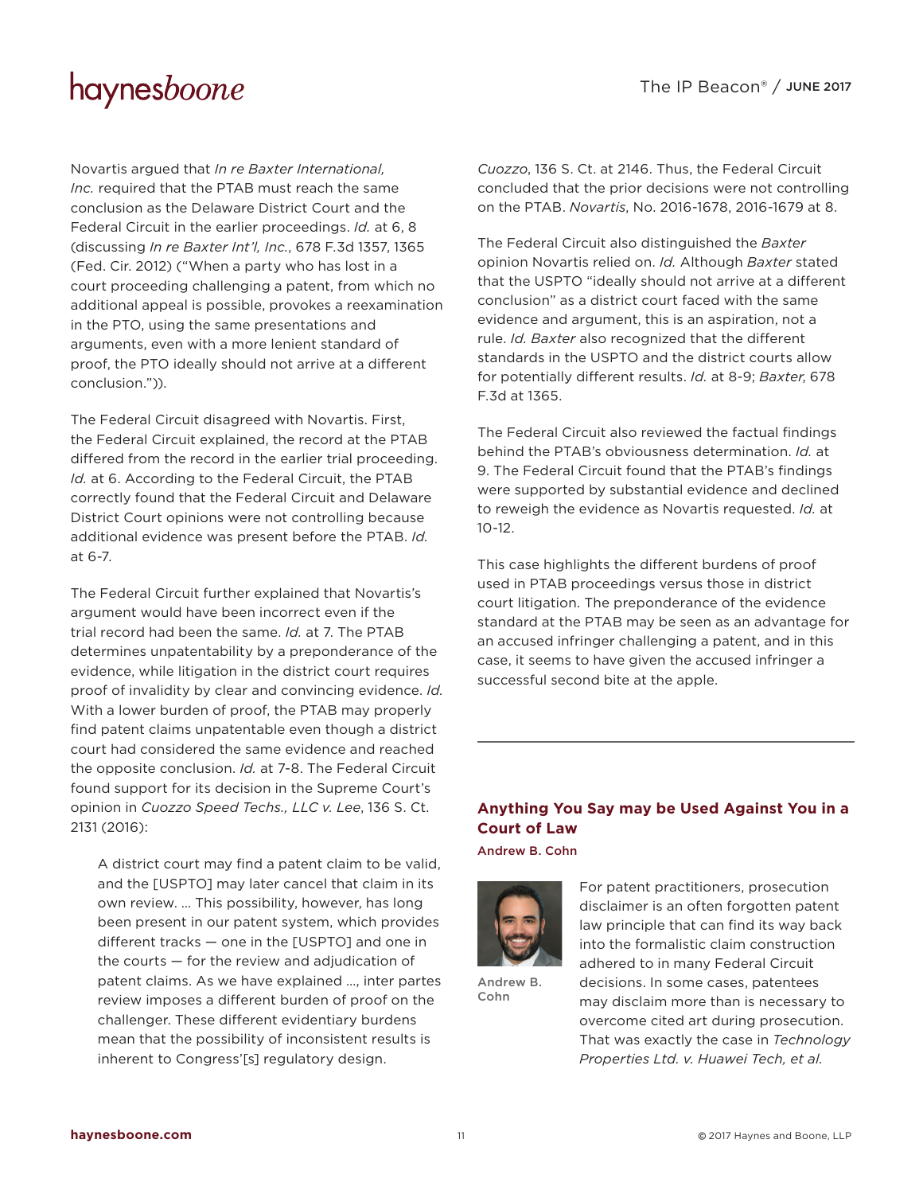Novartis argued that *In re Baxter International, Inc.* required that the PTAB must reach the same conclusion as the Delaware District Court and the Federal Circuit in the earlier proceedings. *Id.* at 6, 8 (discussing *In re Baxter Int'l, Inc.*, 678 F.3d 1357, 1365 (Fed. Cir. 2012) ("When a party who has lost in a court proceeding challenging a patent, from which no additional appeal is possible, provokes a reexamination in the PTO, using the same presentations and arguments, even with a more lenient standard of proof, the PTO ideally should not arrive at a different conclusion.")).

The Federal Circuit disagreed with Novartis. First, the Federal Circuit explained, the record at the PTAB differed from the record in the earlier trial proceeding. *Id.* at 6. According to the Federal Circuit, the PTAB correctly found that the Federal Circuit and Delaware District Court opinions were not controlling because additional evidence was present before the PTAB. *Id.* at 6-7.

The Federal Circuit further explained that Novartis's argument would have been incorrect even if the trial record had been the same. *Id.* at 7. The PTAB determines unpatentability by a preponderance of the evidence, while litigation in the district court requires proof of invalidity by clear and convincing evidence. *Id.*  With a lower burden of proof, the PTAB may properly find patent claims unpatentable even though a district court had considered the same evidence and reached the opposite conclusion. *Id.* at 7-8. The Federal Circuit found support for its decision in the Supreme Court's opinion in *Cuozzo Speed Techs., LLC v. Lee*, 136 S. Ct. 2131 (2016):

A district court may find a patent claim to be valid, and the [USPTO] may later cancel that claim in its own review. … This possibility, however, has long been present in our patent system, which provides different tracks — one in the [USPTO] and one in the courts — for the review and adjudication of patent claims. As we have explained …, inter partes review imposes a different burden of proof on the challenger. These different evidentiary burdens mean that the possibility of inconsistent results is inherent to Congress'[s] regulatory design.

*Cuozzo*, 136 S. Ct. at 2146. Thus, the Federal Circuit concluded that the prior decisions were not controlling on the PTAB. *Novartis*, No. 2016-1678, 2016-1679 at 8.

The Federal Circuit also distinguished the *Baxter* opinion Novartis relied on. *Id.* Although *Baxter* stated that the USPTO "ideally should not arrive at a different conclusion" as a district court faced with the same evidence and argument, this is an aspiration, not a rule. *Id. Baxter* also recognized that the different standards in the USPTO and the district courts allow for potentially different results. *Id.* at 8-9; *Baxter*, 678 F.3d at 1365.

The Federal Circuit also reviewed the factual findings behind the PTAB's obviousness determination. *Id.* at 9. The Federal Circuit found that the PTAB's findings were supported by substantial evidence and declined to reweigh the evidence as Novartis requested. *Id.* at 10-12.

This case highlights the different burdens of proof used in PTAB proceedings versus those in district court litigation. The preponderance of the evidence standard at the PTAB may be seen as an advantage for an accused infringer challenging a patent, and in this case, it seems to have given the accused infringer a successful second bite at the apple.

### **Anything You Say may be Used Against You in a Court of Law**

[Andrew B. Cohn](http://www.haynesboone.com/people/c/cohn-andrew-b)



[Andrew B.](http://www.haynesboone.com/people/c/cohn-andrew-b)  [Cohn](http://www.haynesboone.com/people/c/cohn-andrew-b)

For patent practitioners, prosecution disclaimer is an often forgotten patent law principle that can find its way back into the formalistic claim construction adhered to in many Federal Circuit decisions. In some cases, patentees may disclaim more than is necessary to overcome cited art during prosecution. That was exactly the case in *Technology Properties Ltd. v. Huawei Tech, et al.*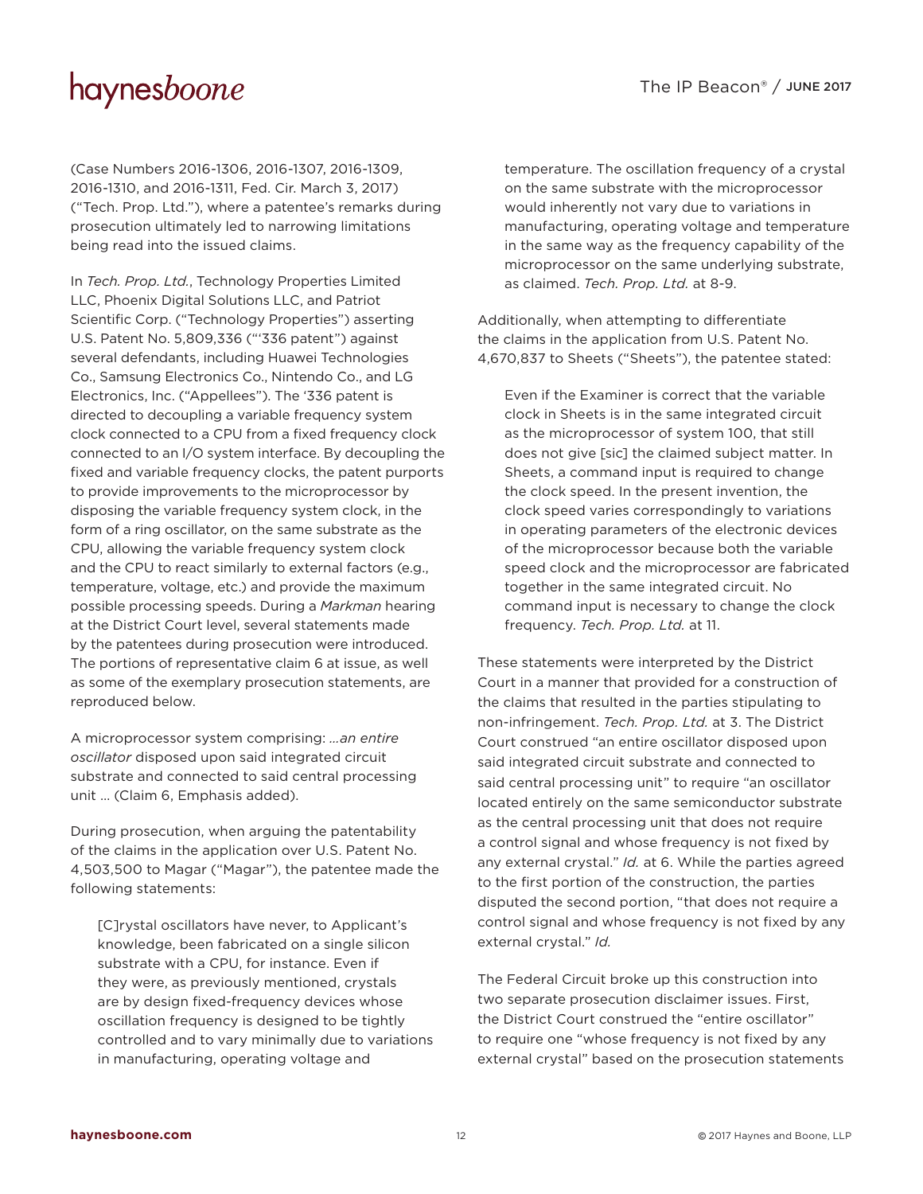(Case Numbers 2016-1306, 2016-1307, 2016-1309, 2016-1310, and 2016-1311, Fed. Cir. March 3, 2017) ("Tech. Prop. Ltd."), where a patentee's remarks during prosecution ultimately led to narrowing limitations being read into the issued claims.

In *Tech. Prop. Ltd.*, Technology Properties Limited LLC, Phoenix Digital Solutions LLC, and Patriot Scientific Corp. ("Technology Properties") asserting U.S. Patent No. 5,809,336 ("'336 patent") against several defendants, including Huawei Technologies Co., Samsung Electronics Co., Nintendo Co., and LG Electronics, Inc. ("Appellees"). The '336 patent is directed to decoupling a variable frequency system clock connected to a CPU from a fixed frequency clock connected to an I/O system interface. By decoupling the fixed and variable frequency clocks, the patent purports to provide improvements to the microprocessor by disposing the variable frequency system clock, in the form of a ring oscillator, on the same substrate as the CPU, allowing the variable frequency system clock and the CPU to react similarly to external factors (e.g., temperature, voltage, etc.) and provide the maximum possible processing speeds. During a *Markman* hearing at the District Court level, several statements made by the patentees during prosecution were introduced. The portions of representative claim 6 at issue, as well as some of the exemplary prosecution statements, are reproduced below.

A microprocessor system comprising: *…an entire oscillator* disposed upon said integrated circuit substrate and connected to said central processing unit … (Claim 6, Emphasis added).

During prosecution, when arguing the patentability of the claims in the application over U.S. Patent No. 4,503,500 to Magar ("Magar"), the patentee made the following statements:

[C]rystal oscillators have never, to Applicant's knowledge, been fabricated on a single silicon substrate with a CPU, for instance. Even if they were, as previously mentioned, crystals are by design fixed-frequency devices whose oscillation frequency is designed to be tightly controlled and to vary minimally due to variations in manufacturing, operating voltage and

temperature. The oscillation frequency of a crystal on the same substrate with the microprocessor would inherently not vary due to variations in manufacturing, operating voltage and temperature in the same way as the frequency capability of the microprocessor on the same underlying substrate, as claimed. *Tech. Prop. Ltd.* at 8-9.

Additionally, when attempting to differentiate the claims in the application from U.S. Patent No. 4,670,837 to Sheets ("Sheets"), the patentee stated:

Even if the Examiner is correct that the variable clock in Sheets is in the same integrated circuit as the microprocessor of system 100, that still does not give [sic] the claimed subject matter. In Sheets, a command input is required to change the clock speed. In the present invention, the clock speed varies correspondingly to variations in operating parameters of the electronic devices of the microprocessor because both the variable speed clock and the microprocessor are fabricated together in the same integrated circuit. No command input is necessary to change the clock frequency. *Tech. Prop. Ltd.* at 11.

These statements were interpreted by the District Court in a manner that provided for a construction of the claims that resulted in the parties stipulating to non-infringement. *Tech. Prop. Ltd.* at 3. The District Court construed "an entire oscillator disposed upon said integrated circuit substrate and connected to said central processing unit" to require "an oscillator located entirely on the same semiconductor substrate as the central processing unit that does not require a control signal and whose frequency is not fixed by any external crystal." *Id.* at 6. While the parties agreed to the first portion of the construction, the parties disputed the second portion, "that does not require a control signal and whose frequency is not fixed by any external crystal." *Id.*

The Federal Circuit broke up this construction into two separate prosecution disclaimer issues. First, the District Court construed the "entire oscillator" to require one "whose frequency is not fixed by any external crystal" based on the prosecution statements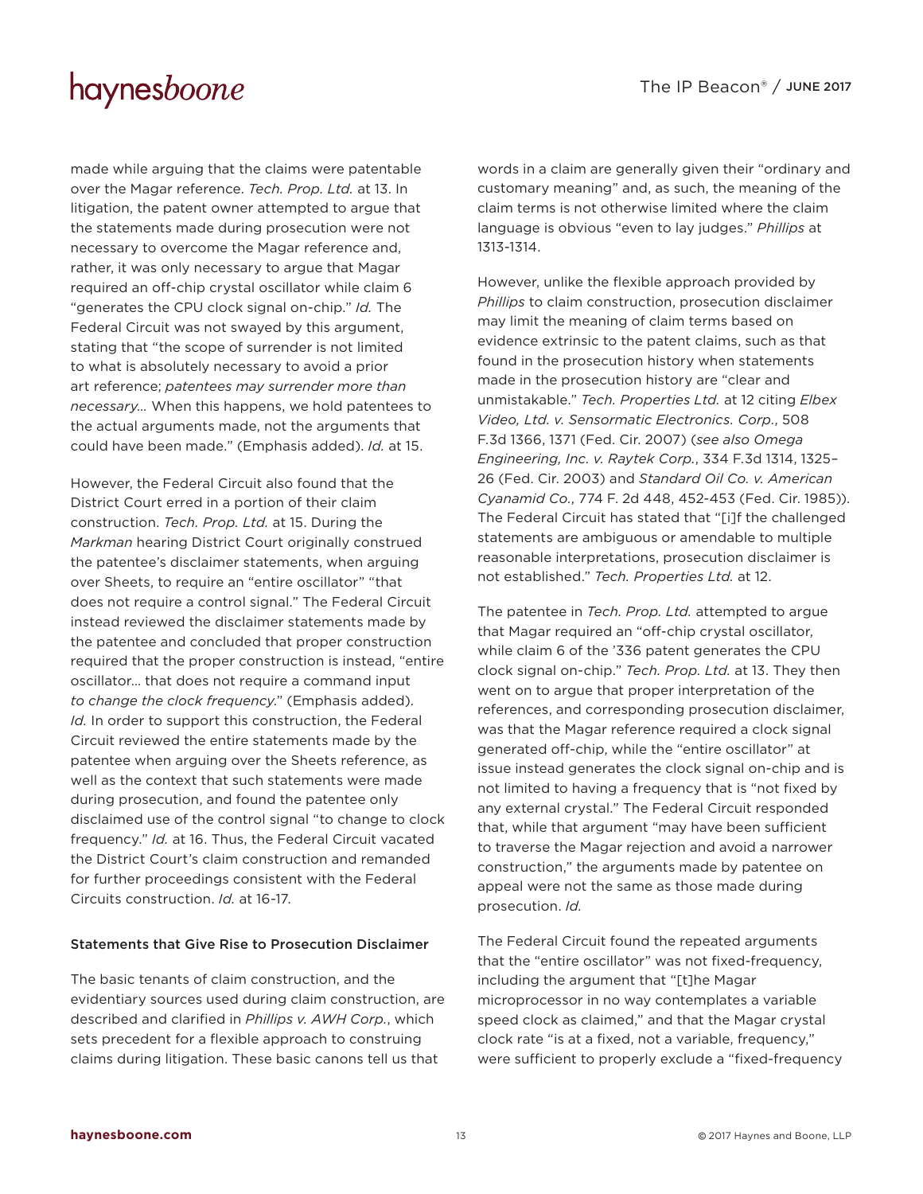made while arguing that the claims were patentable over the Magar reference. *Tech. Prop. Ltd.* at 13. In litigation, the patent owner attempted to argue that the statements made during prosecution were not necessary to overcome the Magar reference and, rather, it was only necessary to argue that Magar required an off-chip crystal oscillator while claim 6 "generates the CPU clock signal on-chip." *Id.* The Federal Circuit was not swayed by this argument, stating that "the scope of surrender is not limited to what is absolutely necessary to avoid a prior art reference; *patentees may surrender more than necessary…* When this happens, we hold patentees to the actual arguments made, not the arguments that could have been made." (Emphasis added). *Id.* at 15.

However, the Federal Circuit also found that the District Court erred in a portion of their claim construction. *Tech. Prop. Ltd.* at 15. During the *Markman* hearing District Court originally construed the patentee's disclaimer statements, when arguing over Sheets, to require an "entire oscillator" "that does not require a control signal." The Federal Circuit instead reviewed the disclaimer statements made by the patentee and concluded that proper construction required that the proper construction is instead, "entire oscillator… that does not require a command input *to change the clock frequency*." (Emphasis added). *Id.* In order to support this construction, the Federal Circuit reviewed the entire statements made by the patentee when arguing over the Sheets reference, as well as the context that such statements were made during prosecution, and found the patentee only disclaimed use of the control signal "to change to clock frequency." *Id.* at 16. Thus, the Federal Circuit vacated the District Court's claim construction and remanded for further proceedings consistent with the Federal Circuits construction. *Id.* at 16-17.

#### Statements that Give Rise to Prosecution Disclaimer

The basic tenants of claim construction, and the evidentiary sources used during claim construction, are described and clarified in *Phillips v. AWH Corp.*, which sets precedent for a flexible approach to construing claims during litigation. These basic canons tell us that

words in a claim are generally given their "ordinary and customary meaning" and, as such, the meaning of the claim terms is not otherwise limited where the claim language is obvious "even to lay judges." *Phillips* at 1313-1314.

However, unlike the flexible approach provided by *Phillips* to claim construction, prosecution disclaimer may limit the meaning of claim terms based on evidence extrinsic to the patent claims, such as that found in the prosecution history when statements made in the prosecution history are "clear and unmistakable." *Tech. Properties Ltd.* at 12 citing *Elbex Video, Ltd. v. Sensormatic Electronics. Corp.*, 508 F.3d 1366, 1371 (Fed. Cir. 2007) (*see also Omega Engineering, Inc. v. Raytek Corp.*, 334 F.3d 1314, 1325– 26 (Fed. Cir. 2003) and *Standard Oil Co. v. American Cyanamid Co.*, 774 F. 2d 448, 452-453 (Fed. Cir. 1985)). The Federal Circuit has stated that "[i]f the challenged statements are ambiguous or amendable to multiple reasonable interpretations, prosecution disclaimer is not established." *Tech. Properties Ltd.* at 12.

The patentee in *Tech. Prop. Ltd.* attempted to argue that Magar required an "off-chip crystal oscillator, while claim 6 of the '336 patent generates the CPU clock signal on-chip." *Tech. Prop. Ltd.* at 13. They then went on to argue that proper interpretation of the references, and corresponding prosecution disclaimer, was that the Magar reference required a clock signal generated off-chip, while the "entire oscillator" at issue instead generates the clock signal on-chip and is not limited to having a frequency that is "not fixed by any external crystal." The Federal Circuit responded that, while that argument "may have been sufficient to traverse the Magar rejection and avoid a narrower construction," the arguments made by patentee on appeal were not the same as those made during prosecution. *Id.*

The Federal Circuit found the repeated arguments that the "entire oscillator" was not fixed-frequency, including the argument that "[t]he Magar microprocessor in no way contemplates a variable speed clock as claimed," and that the Magar crystal clock rate "is at a fixed, not a variable, frequency," were sufficient to properly exclude a "fixed-frequency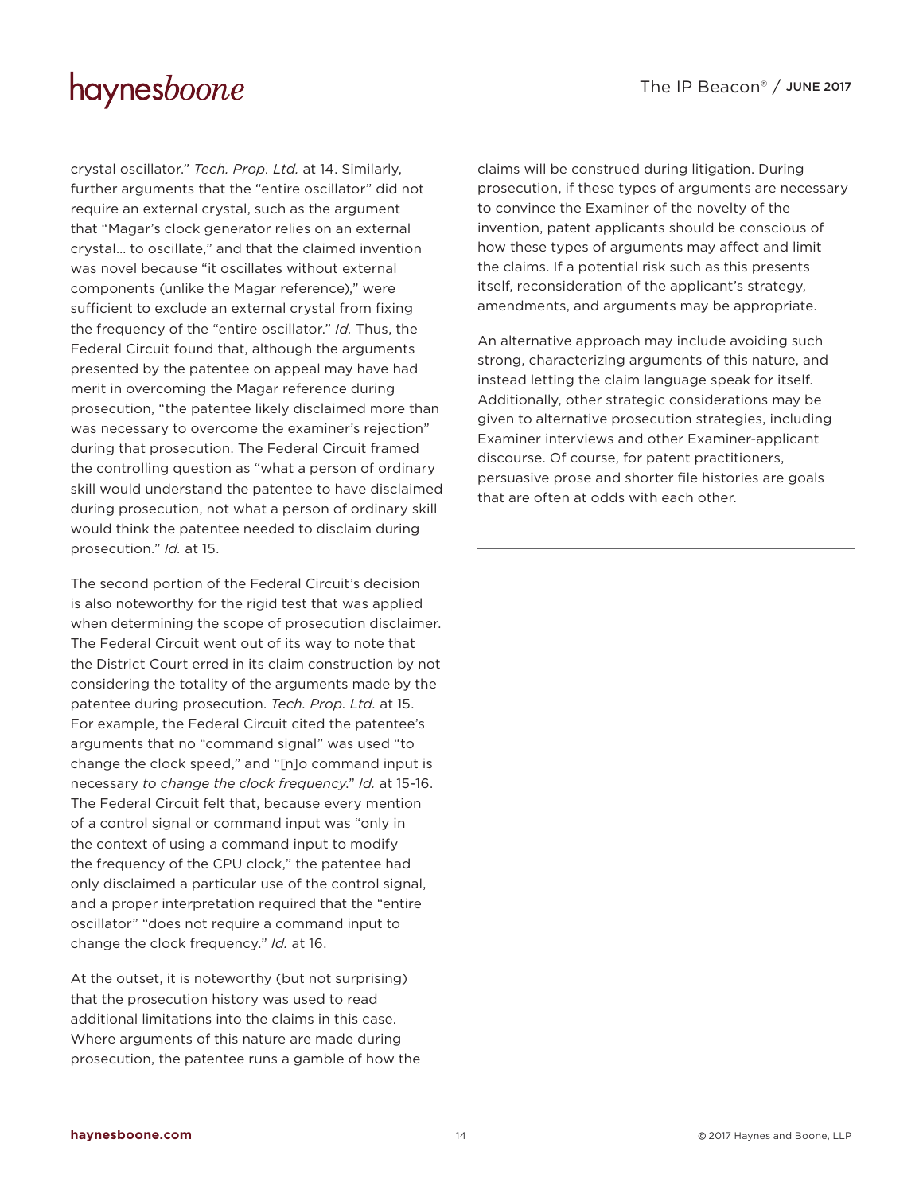crystal oscillator." *Tech. Prop. Ltd.* at 14. Similarly, further arguments that the "entire oscillator" did not require an external crystal, such as the argument that "Magar's clock generator relies on an external crystal… to oscillate," and that the claimed invention was novel because "it oscillates without external components (unlike the Magar reference)," were sufficient to exclude an external crystal from fixing the frequency of the "entire oscillator." *Id.* Thus, the Federal Circuit found that, although the arguments presented by the patentee on appeal may have had merit in overcoming the Magar reference during prosecution, "the patentee likely disclaimed more than was necessary to overcome the examiner's rejection" during that prosecution. The Federal Circuit framed the controlling question as "what a person of ordinary skill would understand the patentee to have disclaimed during prosecution, not what a person of ordinary skill would think the patentee needed to disclaim during prosecution." *Id.* at 15.

The second portion of the Federal Circuit's decision is also noteworthy for the rigid test that was applied when determining the scope of prosecution disclaimer. The Federal Circuit went out of its way to note that the District Court erred in its claim construction by not considering the totality of the arguments made by the patentee during prosecution. *Tech. Prop. Ltd.* at 15. For example, the Federal Circuit cited the patentee's arguments that no "command signal" was used "to change the clock speed," and "[n]o command input is necessary *to change the clock frequency*." *Id.* at 15-16. The Federal Circuit felt that, because every mention of a control signal or command input was "only in the context of using a command input to modify the frequency of the CPU clock," the patentee had only disclaimed a particular use of the control signal, and a proper interpretation required that the "entire oscillator" "does not require a command input to change the clock frequency." *Id.* at 16.

At the outset, it is noteworthy (but not surprising) that the prosecution history was used to read additional limitations into the claims in this case. Where arguments of this nature are made during prosecution, the patentee runs a gamble of how the claims will be construed during litigation. During prosecution, if these types of arguments are necessary to convince the Examiner of the novelty of the invention, patent applicants should be conscious of how these types of arguments may affect and limit the claims. If a potential risk such as this presents itself, reconsideration of the applicant's strategy, amendments, and arguments may be appropriate.

An alternative approach may include avoiding such strong, characterizing arguments of this nature, and instead letting the claim language speak for itself. Additionally, other strategic considerations may be given to alternative prosecution strategies, including Examiner interviews and other Examiner-applicant discourse. Of course, for patent practitioners, persuasive prose and shorter file histories are goals that are often at odds with each other.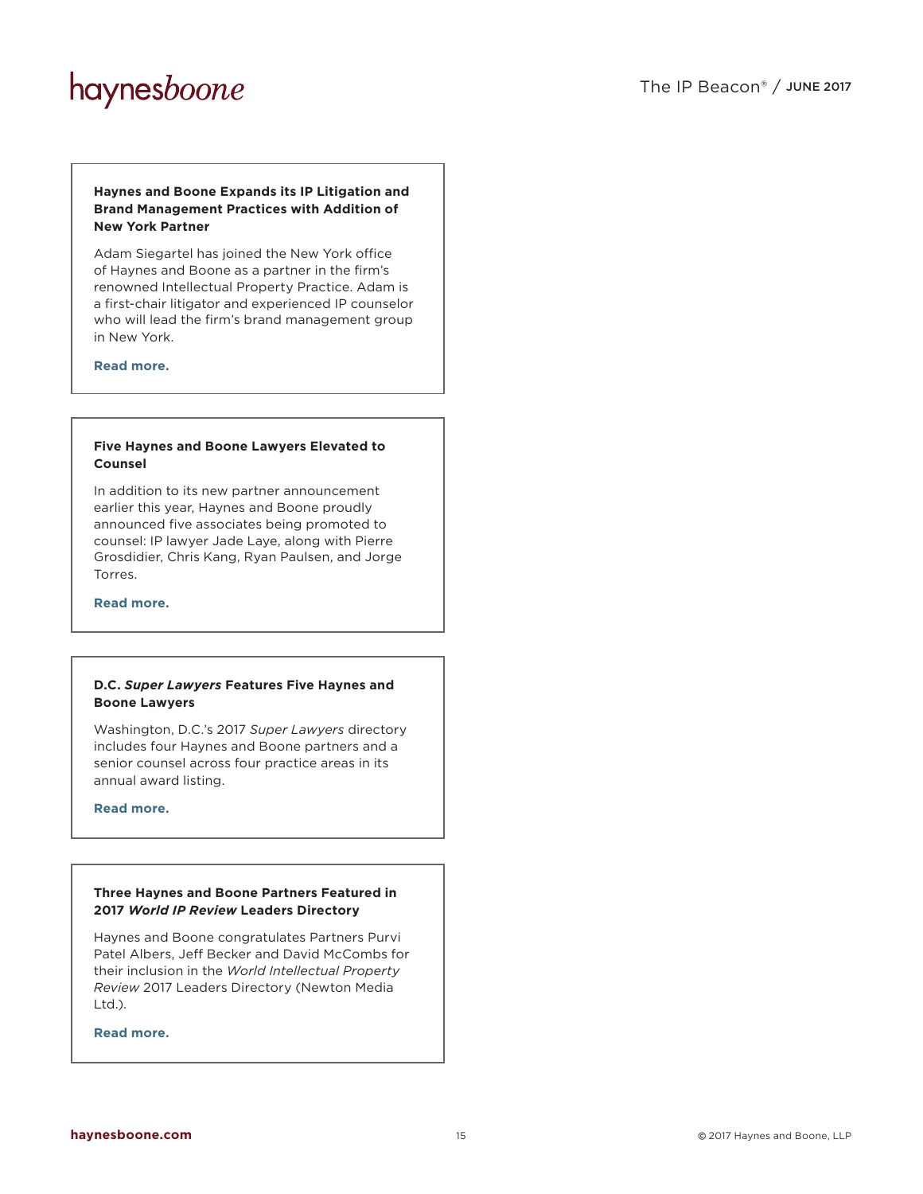#### **Haynes and Boone Expands its IP Litigation and Brand Management Practices with Addition of New York Partner**

Adam Siegartel has joined the New York office of Haynes and Boone as a partner in the firm's renowned Intellectual Property Practice. Adam is a first-chair litigator and experienced IP counselor who will lead the firm's brand management group in New York.

**[Read more.](http://www.haynesboone.com/press-releases/haynes-and-boone-adds-adam-siegartel)**

#### **Five Haynes and Boone Lawyers Elevated to Counsel**

In addition to its new partner announcement earlier this year, Haynes and Boone proudly announced five associates being promoted to counsel: IP lawyer Jade Laye, along with Pierre Grosdidier, Chris Kang, Ryan Paulsen, and Jorge Torres.

**[Read more.](http://www.haynesboone.com/press-releases/2017-promotions-to-counsel)**

#### **D.C.** *Super Lawyers* **Features Five Haynes and Boone Lawyers**

Washington, D.C.'s 2017 *Super Lawyers* directory includes four Haynes and Boone partners and a senior counsel across four practice areas in its annual award listing.

**[Read more.](http://www.haynesboone.com/press-releases/2017-dc-super-lawyers)**

#### **Three Haynes and Boone Partners Featured in 2017** *World IP Review* **Leaders Directory**

Haynes and Boone congratulates Partners Purvi Patel Albers, Jeff Becker and David McCombs for their inclusion in the *World Intellectual Property Review* 2017 Leaders Directory (Newton Media Ltd.).

**[Read more.](http://www.haynesboone.com/press-releases/2017-world-ip-review-leaders-directory)**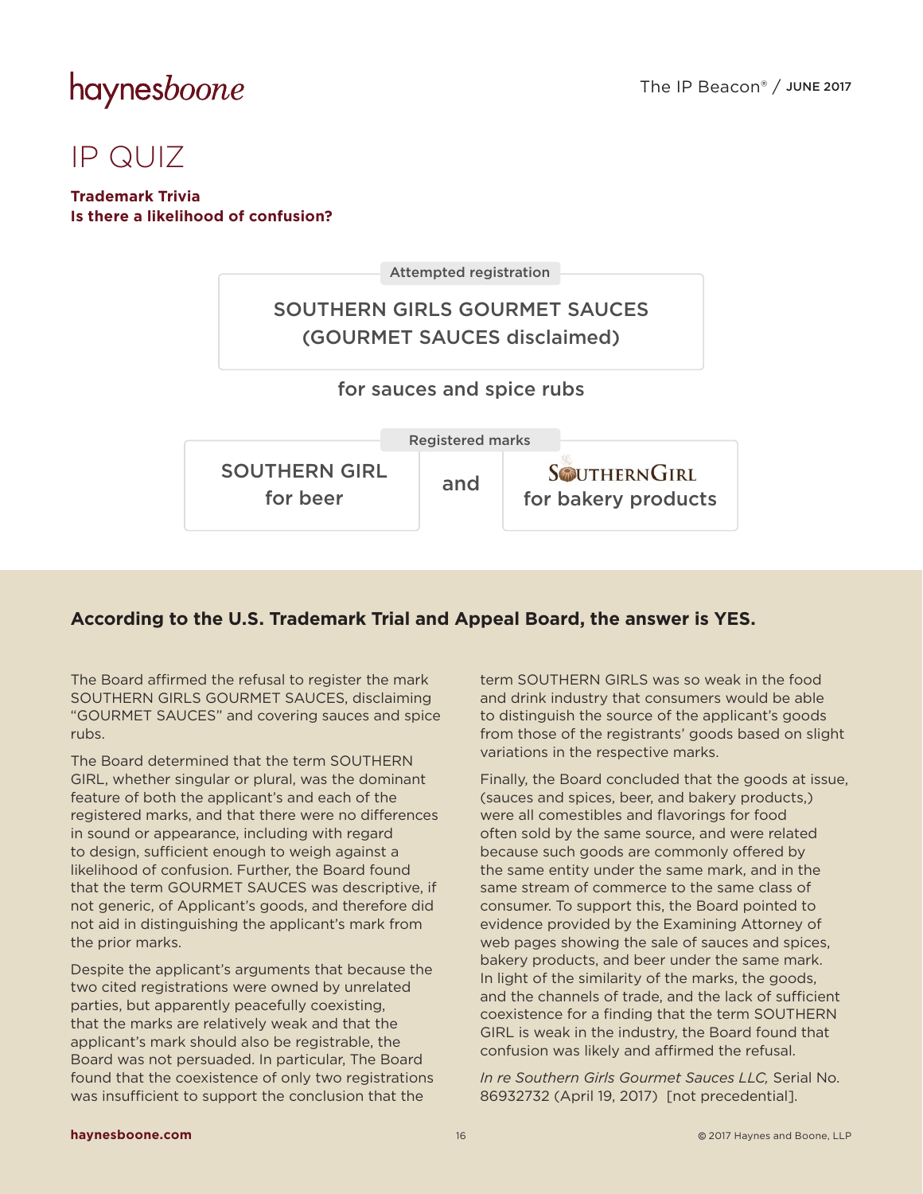### IP QUIZ

### **Trademark Trivia Is there a likelihood of confusion?**



### **According to the U.S. Trademark Trial and Appeal Board, the answer is YES.**

The Board affirmed the refusal to register the mark SOUTHERN GIRLS GOURMET SAUCES, disclaiming "GOURMET SAUCES" and covering sauces and spice rubs.

The Board determined that the term SOUTHERN GIRL, whether singular or plural, was the dominant feature of both the applicant's and each of the registered marks, and that there were no differences in sound or appearance, including with regard to design, sufficient enough to weigh against a likelihood of confusion. Further, the Board found that the term GOURMET SAUCES was descriptive, if not generic, of Applicant's goods, and therefore did not aid in distinguishing the applicant's mark from the prior marks.

Despite the applicant's arguments that because the two cited registrations were owned by unrelated parties, but apparently peacefully coexisting, that the marks are relatively weak and that the applicant's mark should also be registrable, the Board was not persuaded. In particular, The Board found that the coexistence of only two registrations was insufficient to support the conclusion that the

term SOUTHERN GIRLS was so weak in the food and drink industry that consumers would be able to distinguish the source of the applicant's goods from those of the registrants' goods based on slight variations in the respective marks.

Finally, the Board concluded that the goods at issue, (sauces and spices, beer, and bakery products,) were all comestibles and flavorings for food often sold by the same source, and were related because such goods are commonly offered by the same entity under the same mark, and in the same stream of commerce to the same class of consumer. To support this, the Board pointed to evidence provided by the Examining Attorney of web pages showing the sale of sauces and spices, bakery products, and beer under the same mark. In light of the similarity of the marks, the goods, and the channels of trade, and the lack of sufficient coexistence for a finding that the term SOUTHERN GIRL is weak in the industry, the Board found that confusion was likely and affirmed the refusal.

*In re Southern Girls Gourmet Sauces LLC,* Serial No. 86932732 (April 19, 2017) [not precedential].